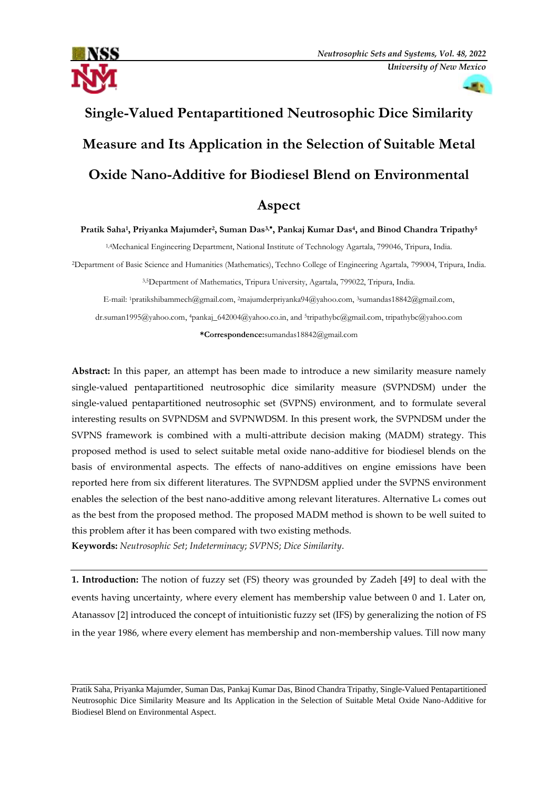

**ALC** 

# **Single-Valued Pentapartitioned Neutrosophic Dice Similarity Measure and Its Application in the Selection of Suitable Metal Oxide Nano-Additive for Biodiesel Blend on Environmental Aspect**

**Pratik Saha<sup>1</sup> , Priyanka Majumder<sup>2</sup> , Suman Das3, , Pankaj Kumar Das<sup>4</sup> , and Binod Chandra Tripathy<sup>5</sup>**

1,4Mechanical Engineering Department, National Institute of Technology Agartala, 799046, Tripura, India.

<sup>2</sup>Department of Basic Science and Humanities (Mathematics), Techno College of Engineering Agartala, 799004, Tripura, India.

3,5Department of Mathematics, Tripura University, Agartala, 799022, Tripura, India.

E-mail: 1[pratikshibammech@gmail.com,](mailto:pratikshibammech@gmail.com) <sup>2</sup>majumderpriyanka94@yahoo.com, 3[sumandas18842@gmail.com,](mailto:sumandas18842@gmail.com)

[dr.suman1995@yahoo.com,](mailto:dr.suman1995@yahoo.com)  <sup>4</sup>[pankaj\\_642004@yahoo.co.in,](mailto:4pankaj_642004@yahoo.co.in) and 5[tripathybc@gmail.com,](mailto:tripathybc@gmail.com) tripathybc@yahoo.com

**\*Correspondence:**sumandas18842@gmail.com

**Abstract:** In this paper, an attempt has been made to introduce a new similarity measure namely single-valued pentapartitioned neutrosophic dice similarity measure (SVPNDSM) under the single-valued pentapartitioned neutrosophic set (SVPNS) environment, and to formulate several interesting results on SVPNDSM and SVPNWDSM. In this present work, the SVPNDSM under the SVPNS framework is combined with a multi-attribute decision making (MADM) strategy. This proposed method is used to select suitable metal oxide nano-additive for biodiesel blends on the basis of environmental aspects. The effects of nano-additives on engine emissions have been reported here from six different literatures. The SVPNDSM applied under the SVPNS environment enables the selection of the best nano-additive among relevant literatures. Alternative L<sup>4</sup> comes out as the best from the proposed method. The proposed MADM method is shown to be well suited to this problem after it has been compared with two existing methods. **Keywords:** *Neutrosophic Set*; *Indeterminacy*; *SVPNS*; *Dice Similarity*.

**1. Introduction:** The notion of fuzzy set (FS) theory was grounded by Zadeh [49] to deal with the events having uncertainty, where every element has membership value between 0 and 1. Later on, Atanassov [2] introduced the concept of intuitionistic fuzzy set (IFS) by generalizing the notion of FS in the year 1986, where every element has membership and non-membership values. Till now many

Pratik Saha, Priyanka Majumder, Suman Das, Pankaj Kumar Das, Binod Chandra Tripathy, Single-Valued Pentapartitioned Neutrosophic Dice Similarity Measure and Its Application in the Selection of Suitable Metal Oxide Nano-Additive for Biodiesel Blend on Environmental Aspect.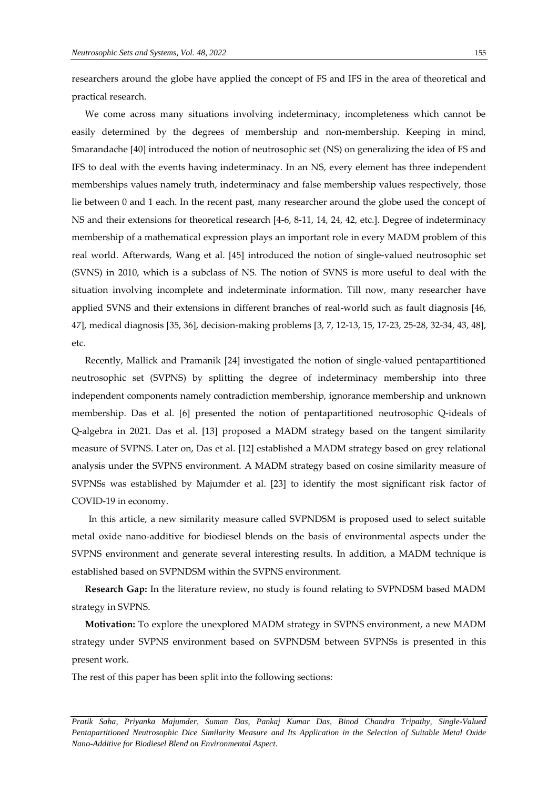We come across many situations involving indeterminacy, incompleteness which cannot be easily determined by the degrees of membership and non-membership. Keeping in mind, Smarandache [40] introduced the notion of neutrosophic set (NS) on generalizing the idea of FS and IFS to deal with the events having indeterminacy. In an NS, every element has three independent memberships values namely truth, indeterminacy and false membership values respectively, those lie between 0 and 1 each. In the recent past, many researcher around the globe used the concept of NS and their extensions for theoretical research [4-6, 8-11, 14, 24, 42, etc.]. Degree of indeterminacy membership of a mathematical expression plays an important role in every MADM problem of this real world. Afterwards, Wang et al. [45] introduced the notion of single-valued neutrosophic set (SVNS) in 2010, which is a subclass of NS. The notion of SVNS is more useful to deal with the situation involving incomplete and indeterminate information. Till now, many researcher have applied SVNS and their extensions in different branches of real-world such as fault diagnosis [46, 47], medical diagnosis [35, 36], decision-making problems [3, 7, 12-13, 15, 17-23, 25-28, 32-34, 43, 48], etc.

Recently, Mallick and Pramanik [24] investigated the notion of single-valued pentapartitioned neutrosophic set (SVPNS) by splitting the degree of indeterminacy membership into three independent components namely contradiction membership, ignorance membership and unknown membership. Das et al. [6] presented the notion of pentapartitioned neutrosophic Q-ideals of Q-algebra in 2021. Das et al. [13] proposed a MADM strategy based on the tangent similarity measure of SVPNS. Later on, Das et al. [12] established a MADM strategy based on grey relational analysis under the SVPNS environment. A MADM strategy based on cosine similarity measure of SVPNSs was established by Majumder et al. [23] to identify the most significant risk factor of COVID-19 in economy.

In this article, a new similarity measure called SVPNDSM is proposed used to select suitable metal oxide nano-additive for biodiesel blends on the basis of environmental aspects under the SVPNS environment and generate several interesting results. In addition, a MADM technique is established based on SVPNDSM within the SVPNS environment.

**Research Gap:** In the literature review, no study is found relating to SVPNDSM based MADM strategy in SVPNS.

**Motivation:** To explore the unexplored MADM strategy in SVPNS environment, a new MADM strategy under SVPNS environment based on SVPNDSM between SVPNSs is presented in this present work.

The rest of this paper has been split into the following sections: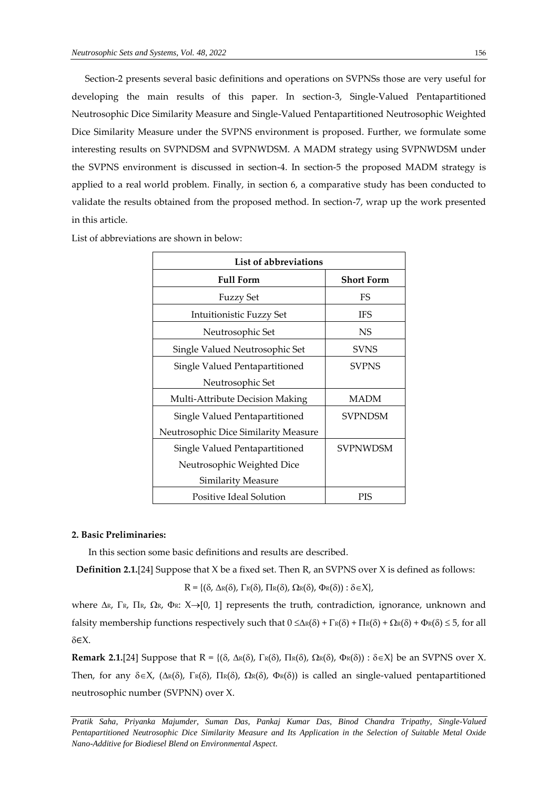Section-2 presents several basic definitions and operations on SVPNSs those are very useful for developing the main results of this paper. In section-3, Single-Valued Pentapartitioned Neutrosophic Dice Similarity Measure and Single-Valued Pentapartitioned Neutrosophic Weighted Dice Similarity Measure under the SVPNS environment is proposed. Further, we formulate some interesting results on SVPNDSM and SVPNWDSM. A MADM strategy using SVPNWDSM under the SVPNS environment is discussed in section-4. In section-5 the proposed MADM strategy is applied to a real world problem. Finally, in section 6, a comparative study has been conducted to validate the results obtained from the proposed method. In section-7, wrap up the work presented in this article.

| List of abbreviations                |                   |  |  |  |  |  |  |
|--------------------------------------|-------------------|--|--|--|--|--|--|
| <b>Full Form</b>                     | <b>Short Form</b> |  |  |  |  |  |  |
| <b>Fuzzy Set</b>                     | FS                |  |  |  |  |  |  |
| Intuitionistic Fuzzy Set             | <b>IFS</b>        |  |  |  |  |  |  |
| Neutrosophic Set                     | NS                |  |  |  |  |  |  |
| Single Valued Neutrosophic Set       | <b>SVNS</b>       |  |  |  |  |  |  |
| Single Valued Pentapartitioned       | <b>SVPNS</b>      |  |  |  |  |  |  |
| Neutrosophic Set                     |                   |  |  |  |  |  |  |
| Multi-Attribute Decision Making      | MADM              |  |  |  |  |  |  |
| Single Valued Pentapartitioned       | <b>SVPNDSM</b>    |  |  |  |  |  |  |
| Neutrosophic Dice Similarity Measure |                   |  |  |  |  |  |  |
| Single Valued Pentapartitioned       | <b>SVPNWDSM</b>   |  |  |  |  |  |  |
| Neutrosophic Weighted Dice           |                   |  |  |  |  |  |  |
| Similarity Measure                   |                   |  |  |  |  |  |  |
| Positive Ideal Solution              | PIS               |  |  |  |  |  |  |

List of abbreviations are shown in below:

#### **2. Basic Preliminaries:**

In this section some basic definitions and results are described.

**Definition 2.1.**[24] Suppose that X be a fixed set. Then R, an SVPNS over X is defined as follows:

 $R = \{(\delta, \Delta_{R}(\delta), \Gamma_{R}(\delta), \Pi_{R}(\delta), \Omega_{R}(\delta), \Phi_{R}(\delta)) : \delta \in X\},\$ 

where  $\Delta R$ ,  $\Gamma R$ ,  $\Gamma R$ ,  $\Omega R$ ,  $\Phi R$ :  $X \rightarrow [0, 1]$  represents the truth, contradiction, ignorance, unknown and falsity membership functions respectively such that  $0 \leq \Delta_{\mathbb{R}}(\delta) + \Gamma_{\mathbb{R}}(\delta) + \Gamma_{\mathbb{R}}(\delta) + \Delta_{\mathbb{R}}(\delta) + \Phi_{\mathbb{R}}(\delta) \leq 5$ , for all ∈X.

**Remark 2.1.**[24] Suppose that  $R = \{(\delta, \Delta \kappa(\delta), \Gamma \kappa(\delta), \Pi \kappa(\delta), \Omega \kappa(\delta), \Phi \kappa(\delta)) : \delta \in X\}$  be an SVPNS over X. Then, for any  $\delta \in X$ ,  $(\Delta \kappa(\delta), \Gamma \kappa(\delta), \Gamma \kappa(\delta), \Omega \kappa(\delta))$  is called an single-valued pentapartitioned neutrosophic number (SVPNN) over X.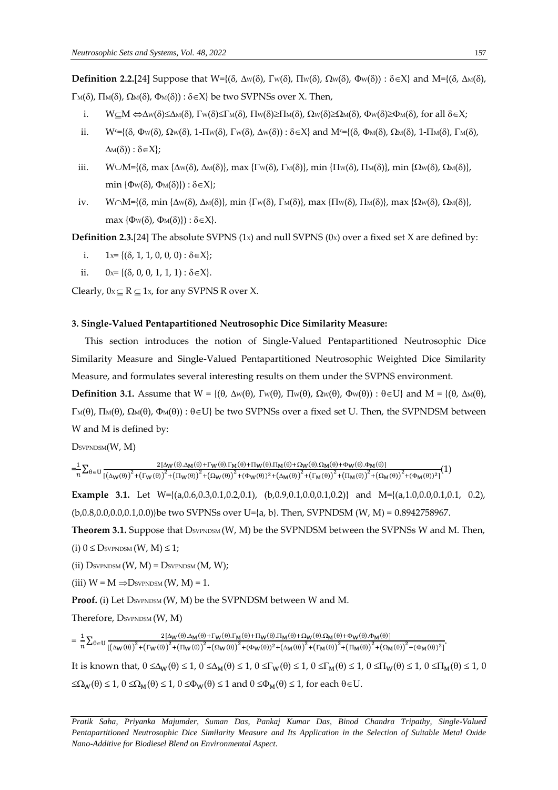**Definition 2.2.**[24] Suppose that  $W=\{(\delta, \Delta w(\delta), \Gamma w(\delta), \Pi w(\delta), \Omega w(\delta)), \Phi w(\delta)) : \delta \in X\}$  and  $M=\{(\delta, \Delta w(\delta), \Pi w(\delta), \Pi w(\delta)), \Phi w(\delta))\}$  $\Gamma_M(\delta)$ ,  $\Pi_M(\delta)$ ,  $\Omega_M(\delta)$ ,  $\Phi_M(\delta)$ ) :  $\delta \in X$ } be two SVPNSs over X. Then,

- i.  $W \subseteq M \Leftrightarrow \Delta w(\delta) \le \Delta w(\delta), \Gamma w(\delta) \le \Gamma w(\delta), \Pi w(\delta) \ge \Pi w(\delta), \Omega w(\delta) \ge \Omega w(\delta), \Phi w(\delta) \ge \Phi w(\delta)$ , for all  $\delta \in X$ ;
- ii.  $W = \{(\delta, \Phi_W(\delta), \Omega_W(\delta), 1-\Pi_W(\delta), \Gamma_W(\delta), \Delta_W(\delta)) : \delta \in X\}$  and  $M = \{(\delta, \Phi_M(\delta), \Omega_M(\delta), 1-\Pi_M(\delta), \Gamma_M(\delta), \Delta_W(\delta)) : \delta \in X\}$  $\Delta M(\delta)$ :  $\delta \in X$ ;
- iii.  $W \cup M = \{(\delta, \max \{\Delta w(\delta), \Delta w(\delta)\}, \max \{\Gamma w(\delta), \Gamma w(\delta)\}, \min \{\Pi w(\delta), \Pi w(\delta)\}, \min \{\Omega w(\delta), \Omega w(\delta)\}\)$ min  $\{\Phi_{W}(\delta), \Phi_{M}(\delta)\}: \delta \in X$ ;
- iv.  $W \cap M = \{(\delta, \min \{\Delta w(\delta), \Delta w(\delta)\}, \min \{\Gamma w(\delta), \Gamma w(\delta)\}, \max \{\Pi w(\delta), \Pi w(\delta)\}, \max \{\Omega w(\delta), \Omega w(\delta)\}\)$  $\max \{\Phi_{W}(\delta), \Phi_{M}(\delta)\}: \delta \in X\}.$

**Definition 2.3.**[24] The absolute SVPNS  $(1x)$  and null SVPNS  $(0x)$  over a fixed set X are defined by:

- i.  $1x = \{(\delta, 1, 1, 0, 0, 0) : \delta \in X\};$
- ii.  $0x = \{(\delta, 0, 0, 1, 1, 1) : \delta \in X\}.$

Clearly,  $0x \subseteq R \subseteq 1x$ , for any SVPNS R over X.

#### **3. Single-Valued Pentapartitioned Neutrosophic Dice Similarity Measure:**

This section introduces the notion of Single-Valued Pentapartitioned Neutrosophic Dice Similarity Measure and Single-Valued Pentapartitioned Neutrosophic Weighted Dice Similarity Measure, and formulates several interesting results on them under the SVPNS environment.

**Definition 3.1.** Assume that  $W = \{(\theta, \Delta w(\theta), \Gamma w(\theta), \Pi w(\theta), \Omega w(\theta), \Phi w(\theta)) : \theta \in U\}$  and  $M = \{(\theta, \Delta w(\theta), \Pi w(\theta), \Pi w(\theta), \Phi w(\theta)) : \theta \in U\}$  $\Gamma_M(\theta)$ ,  $\Pi_M(\theta)$ ,  $\Omega_M(\theta)$ ,  $\Phi_M(\theta)$ ):  $\theta \in U$ } be two SVPNSs over a fixed set U. Then, the SVPNDSM between W and M is defined by:

DSVPNDSM(W, M)

 $=\frac{1}{n}$  $\frac{1}{n}\sum_{\theta\in U}\frac{2[\Delta_W(\theta).\Delta_M(\theta)+\Gamma_W(\theta).\Gamma_M(\theta)+\Pi_W(\theta).\Pi_M(\theta)+\Omega_W(\theta).\Omega_M(\theta)+\Phi_W(\theta).\Phi_M(\theta)]}{\left[\left(\Delta_W(\theta)\right)^2+\left(\Gamma_W(\theta)\right)^2+\left(\Pi_W(\theta)\right)^2+\left(\Delta_W(\theta)\right)^2+\left(\Delta_W(\theta)\right)^2+\left(\Gamma_W(\theta)\right)^2+\left(\Gamma_M(\theta)\right)^2+\left(\Omega_W(\theta)\right)^2}\right]}$  $+\frac{1}{2}\left[\frac{(\Delta W(\theta))^2 + (\Gamma_W(\theta))^2 + (\Gamma_W(\theta))^2 + (\Omega_W(\theta))^2 + (\Delta_W(\theta))^2 + (\Delta_W(\theta))^2 + (\Gamma_W(\theta))^2 + (\Gamma_W(\theta))^2 + (\Gamma_W(\theta))^2 + (\Omega_W(\theta))^2 + (\Gamma_W(\theta))^2 + (\Gamma_W(\theta))^2 + (\Gamma_W(\theta))^2 + (\Gamma_W(\theta))^2 + (\Gamma_W(\theta))^2 + (\Gamma_W(\theta))^2 + (\Gamma_W(\theta))^2 + (\Gamma_W(\theta))^2 + (\Gamma_W(\theta))^2 + (\Gamma_W(\theta))^2 + (\Gamma_W(\theta))^2 + (\Gamma_W(\theta))^2 + (\Gamma_W(\theta))^2 + (\Gamma_W(\theta))^2 + (\Gamma_W(\theta))^2 + (\Gamma_W(\theta))^2 + (\$ 

**Example 3.1.** Let  $W=[(a,0.6,0.3,0.1,0.2,0.1), (b,0.9,0.1,0.0,0.1,0.2)]$  and  $M=[(a,1.0,0.0,0.1,0.1, 0.2),$ (b,0.8,0.0,0.0,0.1,0.0)}be two SVPNSs over U={a, b}. Then, SVPNDSM (W, M) = 0.8942758967.

**Theorem 3.1.** Suppose that DSVPNDSM (W, M) be the SVPNDSM between the SVPNSs W and M. Then, (i)  $0 \leq$  DsvPNDSM  $(W, M) \leq 1$ ;

(ii)  $D_{SVPNDSM}(W, M) = D_{SVPNDSM}(M, W);$ 

(iii)  $W = M \implies$  DSVPNDSM  $(W, M) = 1$ .

Proof. (i) Let DSVPNDSM (W, M) be the SVPNDSM between W and M.

Therefore, DSVPNDSM (W, M)

 $=\frac{1}{n}$  $\frac{1}{n}\sum_{\theta\in U}\frac{2[\Delta_W(\theta).\Delta_M(\theta)+\Gamma_W(\theta).\Gamma_M(\theta)+\Pi_W(\theta).\Pi_M(\theta)+\Omega_W(\theta).\Omega_M(\theta)+\Phi_W(\theta).\Phi_M(\theta)]}{\left[\left(\Delta_W(\theta)\right)^2+\left(\Gamma_W(\theta)\right)^2+\left(\Gamma_W(\theta)\right)^2+\left(\Omega_W(\theta)\right)^2+\left(\Phi_W(\theta)\right)^2+\left(\Gamma_M(\theta)\right)^2+\left(\Gamma_M(\theta)\right)^2+\left(\Omega_M(\theta)\right)^2}\right]}$  $\theta \in U \frac{\epsilon_{\text{LQW}}(\sigma) \Delta_{\text{M}}(\sigma) + \gamma_{\text{M}}(\sigma) + \gamma_{\text{M}}(\sigma) + \gamma_{\text{M}}(\sigma) + \gamma_{\text{M}}(\sigma) + \gamma_{\text{M}}(\sigma) + \gamma_{\text{M}}(\sigma) + \gamma_{\text{M}}(\sigma))}{[(\Delta_{\text{W}}(\theta))^2 + (\Gamma_{\text{W}}(\theta))^2 + (\Gamma_{\text{W}}(\theta))^2 + (\Gamma_{\text{M}}(\theta))^2 + (\Gamma_{\text{M}}(\theta))^2 + (\Gamma_{\text{M}}(\theta))^2 + (\Gamma_{\text{M}}(\theta))^2 + (\Gamma_{\text{M}}(\theta))^2$ 

It is known that,  $0 \leq \Delta_W(\theta) \leq 1$ ,  $0 \leq \Delta_W(\theta) \leq 1$ ,  $0 \leq \Gamma_W(\theta) \leq 1$ ,  $0 \leq \Gamma_W(\theta) \leq 1$ ,  $0 \leq \Pi_W(\theta) \leq 1$ ,  $0 \leq \Pi_W(\theta) \leq 1$ ,  $0 \leq \Pi_W(\theta) \leq 1$  $\leq \Omega_W(\theta) \leq 1$ ,  $0 \leq \Omega_M(\theta) \leq 1$ ,  $0 \leq \Phi_W(\theta) \leq 1$  and  $0 \leq \Phi_M(\theta) \leq 1$ , for each  $\theta \in U$ .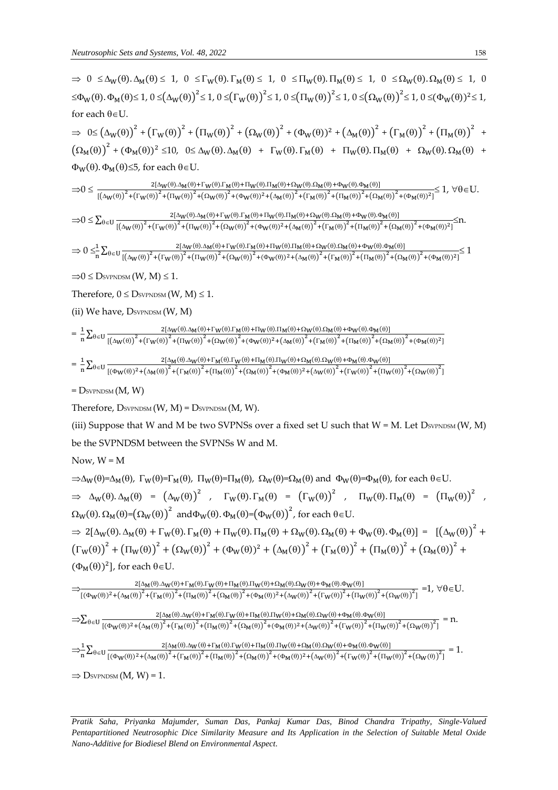$\Rightarrow 0 \leq \Delta_W(\theta) \cdot \Delta_M(\theta) \leq 1$ ,  $0 \leq \Gamma_W(\theta) \cdot \Gamma_M(\theta) \leq 1$ ,  $0 \leq \Pi_W(\theta) \cdot \Pi_M(\theta) \leq 1$ ,  $0 \leq \Omega_W(\theta) \cdot \Omega_M(\theta) \leq 1$ , 0  $\leq \Phi_W(\theta)$ .  $\Phi_M(\theta) \leq 1$ ,  $0 \leq (\Delta_W(\theta))^{2} \leq 1$ ,  $0 \leq (\Gamma_W(\theta))^{2} \leq 1$ ,  $0 \leq (\Pi_W(\theta))^{2} \leq 1$ ,  $0 \leq (\Omega_W(\theta))^{2} \leq 1$ ,  $0 \leq (\Phi_W(\theta))^{2} \leq 1$ , for each  $\theta \in U$ .

 $\Rightarrow \theta \le (\Delta_W(\theta))^2 + (\Gamma_W(\theta))^2 + (\Pi_W(\theta))^2 + (\Omega_W(\theta))^2 + (\Phi_W(\theta))^2 + (\Delta_M(\theta))^2 + (\Gamma_M(\theta))^2 + (\Pi_M(\theta))^2$  $\left(\Omega_{\rm M}(\theta)\right)^2 + \left(\Phi_{\rm M}(\theta)\right)^2 \leq 10, \ \ 0 \leq \Delta_{\rm W}(\theta).\Delta_{\rm M}(\theta) + \Gamma_{\rm W}(\theta).\Gamma_{\rm M}(\theta) + \Pi_{\rm W}(\theta).\Pi_{\rm M}(\theta) + \Omega_{\rm W}(\theta).\Omega_{\rm M}(\theta) +$  $\Phi_{\text{W}}(\theta)$ .  $\Phi_{\text{M}}(\theta) \le 5$ , for each  $\theta \in U$ .

0 2[W().M()+W().M()+W().M()+W().M()+W().M()] [(W()) 2 +(W()) 2 +(W()) 2 +(W()) 2 +(W()) <sup>2</sup>+(M()) 2 +(M()) 2 +(M()) 2 +(M()) 2 +(M()) 2] 1, U.

0 ∑ 2[W().M()+W().M()+W().M()+W().M()+W().M()]  $\theta \in U \frac{2\left[\Delta W(\theta) \cdot \Delta M(\theta) + 1 \cdot W(\theta) \cdot 1 \cdot M(\theta) + 1 \cdot W(\theta) \cdot 1 \cdot M(\theta) + 2 \cdot W(\theta) \cdot 2 \cdot M(\theta) + \Phi W(\theta) \cdot 2 \cdot M(\theta)\right]}{\left[\left(\Delta W(\theta)\right)^2 + \left(\Gamma_W(\theta)\right)^2 + \left(\Gamma_W(\theta)\right)^2 + \left(\Omega_W(\theta)\right)^2 + \left(\Phi_W(\theta)\right)^2 + \left(\Delta_M(\theta)\right)^2 + \left(\Gamma_W(\theta)\right)^2 + \left(\Gamma_W(\theta)\right)^2 + \left(\Phi_W(\theta) \cdot 2 \cdot M(\theta) + \Phi$ 

$$
\Rightarrow 0\leq^{\hspace{-0.5mm}-1}_{n}\hspace{-0.5mm}\sum_{\theta \in U}\frac{2[\Delta_W(\theta)\Delta_M(\theta)+\Gamma_W(\theta).\Gamma_M(\theta)+\Pi_W(\theta).\Pi_M(\theta)+\Omega_W(\theta)\Delta_M(\theta)+\Omega_W(\theta)\Phi_M(\theta)]}{\left[\left(\Delta_W(\theta)\right)^2+\left(\Gamma_W(\theta)\right)^2+\left(\Pi_W(\theta)\right)^2+\left(\Omega_W(\theta)\right)^2+\left(\Phi_W(\theta)\right)^2+\left(\Delta_M(\theta)\right)^2+\left(\Gamma_M(\theta)\right)^2+\left(\Pi_M(\theta)\right)^2+\left(\Omega_M(\theta)\right)^2\right]}\leq 1
$$

 $\Rightarrow$  0  $\leq$  DsvpNDSM  $(W, M) \leq 1$ .

Therefore,  $0 \leq$  DsvPNDSM  $(W, M) \leq 1$ .

(ii) We have,  $D_{SVPNDSM}(W, M)$ 

$$
=\frac{1}{n}\underset{}{\sum_{\theta\in U}\frac{2[\Delta_{W}(\theta).\Delta_{M}(\theta)+\Gamma_{W}(\theta).\Gamma_{M}(\theta)+\Pi_{W}(\theta).\Pi_{M}(\theta)+\Omega_{W}(\theta).\Omega_{M}(\theta)+\Phi_{W}(\theta).\Phi_{M}(\theta)]}{[\Delta_{W}(\theta)]^{2}+[\Gamma_{W}(\theta)]^{2}+[\Omega_{W}(\theta)]^{2}+(\Delta_{W}(\theta))^{2}+(\Delta_{M}(\theta))^{2}+[\Gamma_{M}(\theta)]^{2}+[\Gamma_{M}(\theta)]^{2}+(\Delta_{M}(\theta))^{2}+(\Delta_{M}(\theta))^{2}+(\Delta_{M}(\theta))^{2}]}}
$$

$$
=\frac{1}{n}\sum\nolimits_{\theta \in U} \frac{2[\Delta_M(\theta).\Delta_W(\theta)+\Gamma_M(\theta).\Gamma_W(\theta)+\Pi_M(\theta).\Pi_W(\theta)+\Omega_M(\theta).\Omega_W(\theta)+\Phi_M(\theta).\Phi_W(\theta)]}{\left[(\Phi_W(\theta))^2+\left(\Delta_M(\theta)\right)^2+\left(\Gamma_M(\theta)\right)^2+\left(\Pi_M(\theta)\right)^2+\left(\Delta_M(\theta)\right)^2+\left(\Delta_W(\theta)\right)^2+\left(\Delta_W(\theta)\right)^2+\left(\Gamma_W(\theta)\right)^2+\left(\Pi_W(\theta)\right)^2+\left(\Pi_W(\theta)\right)^2+\left(\Pi_W(\theta)\right)^2+\left(\Pi_W(\theta)\right)^2+\left(\Pi_W(\theta)\right)^2+\left(\Pi_W(\theta)\right)^2+\left(\Pi_W(\theta)\right)^2+\left(\Pi_W(\theta)\right)^2+\left(\Pi_W(\theta)\right)^2+\left(\Pi_W(\theta)\right)^2+\left(\Pi_W(\theta)\right)^2+\left(\Pi_W(\theta)\right)^2+\left(\Pi_W(\theta)\right)^2+\left(\Pi_W(\theta)\right)^2+\left(\Pi_W(\theta)\right)^2+\left(\Pi_W(\theta)\right)^2+\left(\Pi_W(\theta)\right)^2+\left(\Pi_W(\theta)\right)^2+\left(\Pi_W(\theta)\right)^2+\left(\Pi_W(\theta)\right)^2+\left(\Pi_W(\theta)\right)^2+\left(\Pi_W(\theta)\right)^2+\left(\Pi_W(\theta)\right)^2+\left(\Pi_W(\theta)\right)^2+\left(\Pi_W(\theta)\right)^2+\left(\Pi_W(\theta)\right)^2+\left(\Pi_W(\theta)\right)^2+\left(\Pi_W(\theta)\right)^2+\left(\Pi_W(\theta)\right)^2+\left(\Pi_W(\theta)\right)^2+\left(\Pi_W(\theta)\right)^2+\left(\Pi_W(\theta)\right)^2+\left(\Pi_W(\theta)\right)^2+\left(\Pi_W(\theta)\right)^2+\left(\Pi_W(\theta)\right)^2+\left(\Pi_W(\theta)\right)^2+\left(\Pi_W(\theta)\right)^2+\left(\Pi_W(\theta)\right)^2+\left(\Pi_W(\theta)\right)^2+\left(\Pi_W(\theta)\right)^2+\left(\Pi_W(\theta)\right)^2+\left(\Pi_W(\theta)\right)^2+\left(\Pi_W(\theta)\right)^2+\left(\Pi_W(\theta)\right)^2+\left(\Pi_W(\theta)\right)^2+\left(\Pi_W(\theta)\right)^2+\left(\Pi_W(\theta)\right)^2+\left(\Pi_W(\theta)\right)^2+\left(\Pi_W(\theta)\right)^2+\left(\Pi_W(\theta)\right)^2+\left(\Pi_W(\theta)\right)^2+\left(\Pi_W(\theta)\right)^2+\left(\Pi_W(\theta)\right)^2+\left(\Pi_W(\theta)\right)^2
$$

 $=$  D<sub>svPNDSM</sub>  $(M, W)$ 

Therefore,  $D_{SVPNDSM}(W, M) = D_{SVPNDSM}(M, W)$ .

(iii) Suppose that W and M be two SVPNSs over a fixed set U such that  $W = M$ . Let  $D_{SVPNDSM}(W, M)$ be the SVPNDSM between the SVPNSs W and M.

Now,  $W = M$ 

$$
\Rightarrow \Delta_W(\theta) = \Delta_M(\theta), \ \Gamma_W(\theta) = \Gamma_M(\theta), \ \Pi_W(\theta) = \Pi_M(\theta), \ \Omega_W(\theta) = \Omega_M(\theta) \text{ and } \Phi_W(\theta) = \Phi_M(\theta), \text{ for each } \theta \in U.
$$
  
\n
$$
\Rightarrow \Delta_W(\theta) \cdot \Delta_M(\theta) = (\Delta_W(\theta))^2, \quad \Gamma_W(\theta) \cdot \Gamma_M(\theta) = (\Gamma_W(\theta))^2, \quad \Pi_W(\theta) \cdot \Pi_M(\theta) = (\Pi_W(\theta))^2,
$$
  
\n
$$
\Omega_W(\theta) \cdot \Omega_M(\theta) = (\Omega_W(\theta))^2 \text{ and } \Phi_W(\theta) \cdot \Phi_M(\theta) = (\Phi_W(\theta))^2, \text{ for each } \theta \in U.
$$
  
\n
$$
\Rightarrow 2[\Delta_W(\theta) \cdot \Delta_M(\theta) + \Gamma_W(\theta) \cdot \Gamma_M(\theta) + \Pi_W(\theta) \cdot \Pi_M(\theta) + \Omega_W(\theta) \cdot \Omega_M(\theta) + \Phi_W(\theta) \cdot \Phi_M(\theta)] = [(\Delta_W(\theta))^2 + (\Gamma_W(\theta))^2 + (\Pi_W(\theta))^2 + (\Pi_W(\theta))^2 + (\Pi_W(\theta))^2 + (\Pi_W(\theta))^2]
$$
  
\n
$$
(\Phi_M(\theta))^2
$$
, for each  $\theta \in U$ .

$$
\frac{2[\Delta_{M}(\theta).\Delta_{W}(\theta)+\Gamma_{M}(\theta).\Gamma_{W}(\theta)+\Pi_{W}(\theta).\Pi_{W}(\theta)+\Omega_{M}(\theta).\Omega_{W}(\theta)+\Phi_{M}(\theta).\Phi_{W}(\theta)]}{[(\Phi_{W}(\theta))^{2}+(\Delta_{M}(\theta))^{2}+(\Gamma_{M}(\theta))^{2}+(\Gamma_{M}(\theta))^{2}+(\Delta_{M}(\theta))^{2}+(\Delta_{W}(\theta))^{2}+(\Gamma_{W}(\theta))^{2}+(\Gamma_{W}(\theta))^{2}+(\Gamma_{W}(\theta))^{2}+(\Omega_{W}(\theta))^{2}]}=1, \forall \theta \in U.
$$
  
\n
$$
\Rightarrow \sum_{\theta \in U} \frac{2[\Delta_{M}(\theta).\Delta_{W}(\theta)+\Gamma_{M}(\theta).\Gamma_{W}(\theta)+\Pi_{M}(\theta).\Pi_{W}(\theta)+\Omega_{M}(\theta).\Omega_{W}(\theta)+\Phi_{M}(\theta).\Phi_{W}(\theta)]}{[(\Phi_{W}(\theta))^{2}+(\Delta_{M}(\theta))^{2}+(\Gamma_{M}(\theta))^{2}+(\Gamma_{M}(\theta))^{2}+(\Omega_{W}(\theta))^{2}+(\Omega_{W}(\theta))^{2}+(\Gamma_{W}(\theta))^{2}+(\Gamma_{W}(\theta))^{2}+(\Omega_{W}(\theta))^{2}]}=n.
$$
  
\n
$$
\Rightarrow \frac{1}{n} \sum_{\theta \in U} \frac{2[\Delta_{M}(\theta).\Delta_{W}(\theta)+\Gamma_{M}(\theta).\Gamma_{W}(\theta)+\Pi_{M}(\theta).\Pi_{W}(\theta)+\Omega_{M}(\theta).\Omega_{W}(\theta)+\Phi_{M}(\theta).\Phi_{W}(\theta)]}{[(\Phi_{W}(\theta))^{2}+(\Delta_{M}(\theta))^{2}+(\Gamma_{M}(\theta))^{2}+(\Gamma_{M}(\theta))^{2}+(\Omega_{W}(\theta))^{2}+(\Omega_{W}(\theta))^{2}+(\Gamma_{W}(\theta))^{2}+(\Omega_{W}(\theta))^{2}]}=1.
$$
  
\n
$$
\Rightarrow D_{\text{SVPNDSM}}(M, W) = 1.
$$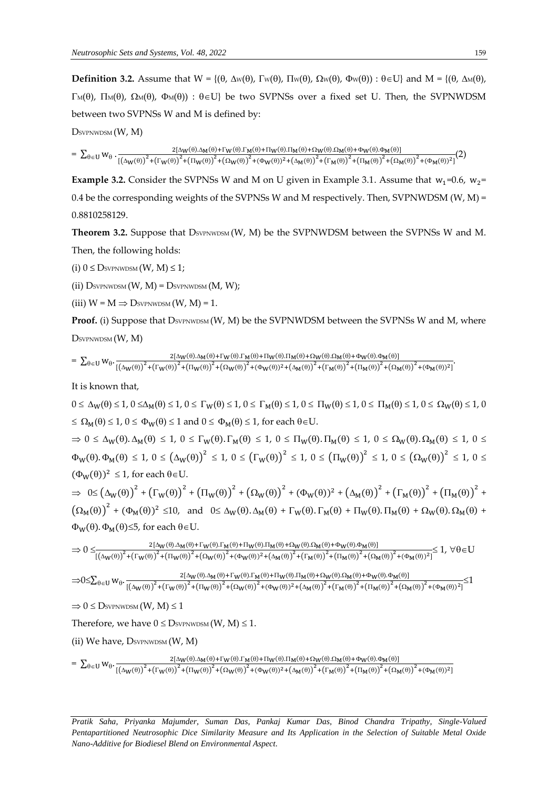**Definition 3.2.** Assume that  $W = \{(\theta, \Delta w(\theta), \Gamma w(\theta), \Pi w(\theta), \Omega w(\theta), \Phi w(\theta)) : \theta \in U\}$  and  $M = \{(\theta, \Delta w(\theta), \Pi w(\theta), \Pi w(\theta), \Omega w(\theta)) : \theta \in U\}$  $\Gamma_M(\theta)$ ,  $\Pi_M(\theta)$ ,  $\Omega_M(\theta)$ ,  $\Phi_M(\theta)$ ):  $\theta \in U$ } be two SVPNSs over a fixed set U. Then, the SVPNWDSM between two SVPNSs W and M is defined by:

DSVPNWDSM (W, M)

 $= \sum_{\theta \in U} w_{\theta} \cdot \frac{2[\Delta_W(\theta) \cdot \Delta_M(\theta) + \Gamma_W(\theta) \cdot \Gamma_M(\theta) + \Pi_W(\theta) \cdot \Pi_M(\theta) + \Omega_W(\theta) \cdot \Omega_M(\theta) + \Phi_W(\theta) \cdot \Phi_M(\theta)]}{\left[2\Delta_W(\theta) \cdot \frac{(\Delta_W(\theta) \cdot \Delta_M(\theta) + \Gamma_M(\theta) \cdot \Gamma_M(\theta) \cdot \Pi_M(\theta) + \Omega_M(\theta) \cdot \Delta_M(\theta) + \Omega_M(\theta) \cdot \Pi_M(\theta) + \Omega_M(\theta) \cdot \Pi_M(\theta) \cdot \Pi_M(\theta) + \Omega_M(\theta) \cdot \Omega_M(\theta) + \Phi_M$  $\theta \in U$   $W_{\theta}$   $\cdot \frac{2[{\Delta_W(\theta)}]^2 + ({\Gamma_W(\theta)})^2 + ({\Omega_W(\theta)})^2 + ({\Omega_W(\theta)})^2 + ({\Omega_W(\theta)})^2 + ({\Delta_W(\theta)})^2 + ({\Gamma_M(\theta)})^2 + ({\Gamma_M(\theta)})^2 + ({\Gamma_M(\theta)})^2 + ({\Gamma_M(\theta)})^2 + ({\Omega_W(\theta)})^2 + ({\Omega_W(\theta)})^2 + ({\Omega_W(\theta)})^2 + ({\Omega_W(\theta)})^2 + ({\Omega_W(\theta)})^2 + ({\Omega_W(\theta)})^2 + ({\Omega_W(\theta)})^2 + ({\Omega_W(\theta)})^2 + ({\Omega_W(\theta)})^2 + ({\Omega_W(\theta)})^$ 

**Example 3.2.** Consider the SVPNSs W and M on U given in Example 3.1. Assume that  $w_1$ =0.6,  $w_2$ = 0.4 be the corresponding weights of the SVPNSs W and M respectively. Then, SVPNWDSM (W, M) = 0.8810258129.

Theorem 3.2. Suppose that  $D_{SVPNWDSM}(W, M)$  be the SVPNWDSM between the SVPNSs W and M. Then, the following holds:

(i)  $0 \leq$  DsvpNWDSM  $(W, M) \leq 1$ ;

(ii)  $D<sub>SVPNWDSM</sub>(W, M) = D<sub>SVPNWDSM</sub>(M, W);$ 

(iii)  $W = M \Rightarrow D$ SVPNWDSM  $(W, M) = 1$ .

**Proof.** (i) Suppose that  $D<sub>SVPNWDSM</sub>$  (W, M) be the SVPNWDSM between the SVPNSs W and M, where DSVPNWDSM (W, M)

 $= \sum_{\theta \in U} w_{\theta} \cdot \frac{2[\Delta_W(\theta) \Delta_M(\theta) + \Gamma_W(\theta) \Gamma_M(\theta) + \Pi_W(\theta) \Pi_M(\theta) + \Omega_W(\theta) \Omega_M(\theta) + \Phi_W(\theta) \Omega_M(\theta)]}{\left[ (\Delta_W(\theta) \Delta_M(\theta) + \Delta_M(\theta) \Gamma_M(\theta) + \Omega_M(\theta) \Delta_M(\theta) + \Omega_M(\theta) \Omega_M(\theta) + \Omega_M(\theta) \Omega_M(\theta) \Omega_M(\theta) \right]}$  $\theta \in U \text{ } W_{\theta} \cdot \frac{\mathbb{E}[(\Delta_W(\theta))^2 + (\Gamma_W(\theta))^2 + (\Gamma_W(\theta))^2 + (\Delta_W(\theta))^2 + (\Delta_W(\theta))^2 + (\Delta_W(\theta))^2 + (\Gamma_M(\theta))^2 + (\Gamma_M(\theta))^2 + (\Omega_M(\theta))^2 + (\Omega_M(\theta))^2 + (\Omega_M(\theta))^2]}{[(\Delta_W(\theta))^2 + (\Gamma_W(\theta))^2 + (\Gamma_M(\theta))^2 + (\Delta_W(\theta))^2 + (\Delta_W(\theta))^2 + (\Gamma_M(\theta))^2 + (\Omega_M(\theta))^2 + (\Omega_M(\theta))^2 + (\Omega_M(\theta))^2 + (\Omega_M(\theta))^2 + (\Omega_M(\theta))^2 + (\Omega_M(\theta))^2 + (\Omega_M(\theta))^2 + (\Omega$ 

It is known that,

 $0 \leq \Delta_W(\theta) \leq 1$ ,  $0 \leq \Delta_M(\theta) \leq 1$ ,  $0 \leq \Gamma_W(\theta) \leq 1$ ,  $0 \leq \Gamma_M(\theta) \leq 1$ ,  $0 \leq \Pi_W(\theta) \leq 1$ ,  $0 \leq \Gamma_M(\theta) \leq 1$ ,  $0 \leq \Omega_W(\theta) \leq 1$ ,  $0 \leq \Omega$  $\leq \Omega_M(\theta) \leq 1, 0 \leq \Phi_W(\theta) \leq 1$  and  $0 \leq \Phi_M(\theta) \leq 1$ , for each  $\theta \in U$ .  $0 \leq \Delta_W(\theta) \cdot \Delta_M(\theta) \leq 1$ ,  $0 \leq \Gamma_W(\theta) \cdot \Gamma_M(\theta) \leq 1$ ,  $0 \leq \Pi_W(\theta) \cdot \Pi_M(\theta) \leq 1$ ,  $0 \leq \Omega_W(\theta) \cdot \Omega_M(\theta) \leq 1$ ,  $0 \leq$  $\Phi_{\mathsf{W}}(\theta).\Phi_{\mathsf{M}}(\theta) \leq 1, 0 \leq \big(\Delta_{\mathsf{W}}(\theta)\big)^2 \leq 1, 0 \leq \big(\Gamma_{\mathsf{W}}(\theta)\big)^2 \leq 1, 0 \leq \big(\Pi_{\mathsf{W}}(\theta)\big)^2 \leq 1, 0 \leq \big(\Omega_{\mathsf{W}}(\theta)\big)^2 \leq 1, 0 \leq \big(\Omega_{\mathsf{W}}(\theta)\big)^2$  $(\Phi_W(\theta))^2 \leq 1$ , for each  $\theta \in U$ .

 $\Rightarrow \Theta \leq (\Delta_W(\theta))^2 + (\Gamma_W(\theta))^2 + (\Pi_W(\theta))^2 + (\Omega_W(\theta))^2 + (\Phi_W(\theta))^2 + (\Delta_M(\theta))^2 + (\Gamma_M(\theta))^2 + (\Pi_M(\theta))^2 + (\Pi^2 \cdot \theta)^2 + (\Pi^2 \cdot \theta)^2 + (\Pi^2 \cdot \theta)^2$  $(\Omega_M(\theta))^2 + (\Phi_M(\theta))^2 \le 10$ , and  $0 \le \Delta_W(\theta) \cdot \Delta_M(\theta) + \Gamma_W(\theta) \cdot \Gamma_M(\theta) + \Pi_W(\theta) \cdot \Pi_M(\theta) + \Omega_W(\theta) \cdot \Omega_M(\theta) +$  $\Phi_W(\theta)$ .  $\Phi_M(\theta) \leq 5$ , for each  $\theta \in U$ .

$$
\Rightarrow 0\leq_{\frac{2[\Delta_W(\theta)\Delta_M(\theta)+\Gamma_W(\theta).\Gamma_M(\theta)+\Pi_W(\theta).\Pi_M(\theta)+\Omega_W(\theta).\Omega_M(\theta)+\Phi_W(\theta).\Phi_M(\theta)]}{[(\Delta_W(\theta))^2+(\Gamma_W(\theta))^2+(\Omega_W(\theta))^2+(\Phi_W(\theta))^2+(\Phi_W(\theta))^2+(\Gamma_M(\theta))^2+(\Gamma_M(\theta))^2+(\Omega_M(\theta))^2+(\Omega_M(\theta))^2+(\Phi_M(\theta))^2]}}\leq 1,\; \forall \theta\in U
$$

 $\exists 0 \leq \sum_{\theta \in U} W_{\theta} \cdot \frac{2[\Delta_W(\theta) \Delta_M(\theta) + \Gamma_W(\theta) \Gamma_M(\theta) + \Pi_W(\theta) \Pi_M(\theta) + \Omega_W(\theta) \Omega_M(\theta) + \Phi_W(\theta) \Phi_M(\theta)]}{\sum_{\theta \in U} W_{\theta} \cdot \frac{(f_1 - (0)^2)(\Gamma_M(\theta) \Delta_M(\theta) + \Gamma_M(\theta) \Gamma_M(\theta) + \Omega_M(\theta) + \Omega_M(\theta) \Delta_M(\theta) + \Phi_M(\theta) \Omega_M(\theta))}{(f_1 - (0)^2)(\Gamma_M(\theta) \Delta_M(\theta) + \Phi_M(\theta) \Omega_M(\theta) + \Phi_M(\theta$  $\theta \in U \text{ } W_{\theta} \cdot \frac{2[ \Delta W(\theta) \cdot \Delta M(\theta) + 1 W(\theta) \cdot 1 M(\theta) + 1 W(\theta) \cdot 1 M(\theta) + 1 W(\theta) \cdot 1 M(\theta) + 1 W(\theta) \cdot 2 M(\theta) + 1 W(\theta) \cdot 2 W(\theta) \cdot 2 W(\theta)]}{[(\Delta W(\theta))^2 + (\Gamma_W(\theta))^2 + (\Gamma_W(\theta))^2 + (\Gamma_W(\theta))^2 + (\Gamma_W(\theta))^2 + (\Gamma_W(\theta))^2 + (\Gamma_W(\theta))^2 + (\Gamma_W(\theta))^2 + (\Gamma_W(\theta))^2 + (\Gamma_W(\theta))^2 + (\Gamma_W(\theta))^2 + (\Gamma_W(\theta))^2 + (\Gamma_W(\$ 

 $\Rightarrow 0 \leq$  Dsvpnwdsm  $(W, M) \leq 1$ 

Therefore, we have  $0 \leq D_{SVPNWDSM}(W, M) \leq 1$ .

(ii) We have,  $D<sub>SYPNWDSM</sub>(W, M)$ 

 $= \sum_{\theta \in U} w_{\theta} \cdot \frac{2[\Delta_W(\theta) \Delta_M(\theta) + \Gamma_W(\theta) \Gamma_M(\theta) + \Pi_W(\theta) \Pi_M(\theta) + \Omega_W(\theta) \Omega_M(\theta) + \Phi_W(\theta) \Omega_M(\theta)]}{\left[ (\Delta_W(\theta) \Delta_M(\theta) + \Delta_M(\theta) \Gamma_M(\theta) + \Omega_M(\theta) \Delta_M(\theta) + \Omega_M(\theta) \Omega_M(\theta) + \Omega_M(\theta) \Omega_M(\theta) \Omega_M(\theta) \right]}$ 

 $\theta \in U \stackrel{\mathsf{W}}{\theta} \cdot \frac{1}{[(\Delta_{\mathsf{W}}(\theta))^{2} + (\Gamma_{\mathsf{W}}(\theta))^{2} + (\Pi_{\mathsf{W}}(\theta))^{2} + (\Delta_{\mathsf{W}}(\theta))^{2} + (\Delta_{\mathsf{M}}(\theta))^{2} + (\Gamma_{\mathsf{M}}(\theta))^{2} + (\Pi_{\mathsf{M}}(\theta))^{2} + (\Delta_{\mathsf{M}}(\theta))^{2} + (\Delta_{\mathsf{M}}(\theta))^{2} + (\Delta_{\mathsf{M}}(\theta))^{2} + (\Delta_{\mathsf{M}}(\theta))^{2} + (\Delta_{\mathsf{M}}(\theta))^{2} + (\Delta_{$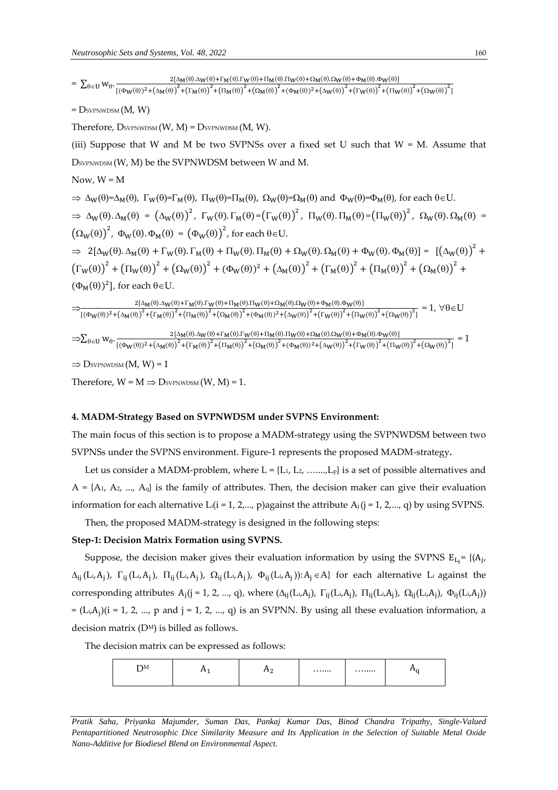=  $\sum_{\theta \in U} w_{\theta} \cdot \frac{2[\Delta_M(\theta) \Delta_W(\theta) + \Gamma_M(\theta) \Gamma_W(\theta) + \Pi_M(\theta) \Pi_W(\theta) + \Omega_M(\theta) + \Omega_M(\theta) + \Phi_M(\theta) \Phi_W(\theta)]}{\sqrt{2} \Delta_W(\theta) + \Delta_W(\theta) \Delta_W(\theta) + \Delta_W(\theta) \Delta_W(\theta) + \Delta_W(\theta) \Delta_W(\theta) + \Delta_W(\theta) \Delta_W(\theta) + \Delta_W(\theta) \Delta_W(\theta) + \Delta_W(\theta) \Delta_W(\theta) + \Delta_W(\theta) \Delta_W(\theta)$  $\theta \in U \text{ } W_{\theta} \cdot \frac{}{\left[(\Phi_{W}(\theta))^{2} + \left(\Delta_{M}(\theta)\right)^{2} + \left(\Gamma_{M}(\theta)\right)^{2} + \left(\Omega_{M}(\theta)\right)^{2} + (\Phi_{M}(\theta))^{2} + \left(\Delta_{W}(\theta)\right)^{2} + \left(\Gamma_{W}(\theta)\right)^{2} + \left(\Pi_{W}(\theta)\right)^{2} + \left(\Omega_{W}(\theta)\right)^{2} \right]}{(\Phi_{W}(\theta))^{2} + (\Phi_{M}(\theta))^{2} + (\Phi_{M}(\theta))^{2} + (\Phi_{M}(\theta))^{2} + (\Phi_{M}(\theta))^{2}$ 

 $=$  Dsvpnwdsm  $(M, W)$ 

Therefore,  $D_{SVPNWDSM}(W, M) = D_{SVPNWDSM}(M, W)$ .

(iii) Suppose that W and M be two SVPNSs over a fixed set U such that  $W = M$ . Assume that D<sub>SVPNWDSM</sub> (W, M) be the SVPNWDSM between W and M.

Now,  $W = M$ 

 $\Rightarrow \Delta_W(\theta) = \Delta_M(\theta)$ ,  $\Gamma_W(\theta) = \Gamma_M(\theta)$ ,  $\Pi_W(\theta) = \Pi_M(\theta)$ ,  $\Omega_W(\theta) = \Omega_M(\theta)$  and  $\Phi_W(\theta) = \Phi_M(\theta)$ , for each  $\theta \in U$ .  $\Rightarrow \Delta_W(\theta) \Delta_M(\theta) = (\Delta_W(\theta))^2$ ,  $\Gamma_W(\theta) \Gamma_M(\theta) = (\Gamma_W(\theta))^2$ ,  $\Pi_W(\theta) \Pi_M(\theta) = (\Pi_W(\theta))^2$ ,  $\Omega_W(\theta) \Omega_M(\theta) =$  $(\Omega_{\rm W}(\theta))^{2}$ ,  $\Phi_{\rm W}(\theta)$ .  $\Phi_{\rm M}(\theta) = (\Phi_{\rm W}(\theta))^{2}$ , for each  $\theta \in U$ .

 $\Rightarrow 2[\Delta_W(\theta).\Delta_M(\theta) + \Gamma_W(\theta).\Gamma_M(\theta) + \Pi_W(\theta).\Pi_M(\theta) + \Omega_W(\theta).\Omega_M(\theta) + \Phi_W(\theta).\Phi_M(\theta)] = [(\Delta_W(\theta))^2 +$  $(\Gamma_W(\theta))^2 + (\Pi_W(\theta))^2 + (\Omega_W(\theta))^2 + (\Phi_W(\theta))^2 + (\Delta_M(\theta))^2 + (\Gamma_M(\theta))^2 + (\Pi_M(\theta))^2 + (\Omega_M(\theta))^2 +$  $(\Phi_M(\theta))^2$ , for each  $\theta \in U$ .

|                          | $2[\Delta_{\mathbf{M}}(\theta).\Delta_{\mathbf{W}}(\theta)+\Gamma_{\mathbf{M}}(\theta).\Gamma_{\mathbf{W}}(\theta)+\Pi_{\mathbf{M}}(\theta).\Pi_{\mathbf{W}}(\theta)+\Omega_{\mathbf{M}}(\theta).\Omega_{\mathbf{W}}(\theta)+\Phi_{\mathbf{M}}(\theta).\Phi_{\mathbf{W}}(\theta)]$<br>$\forall \theta \in U$<br>$\Big[\big(\Phi_W(\theta)\big)^2+\big(\Delta_M(\theta)\big)^2+\big(\Gamma_M(\theta)\big)^2+\big(\Pi_M(\theta)\big)^2+\big(\Omega_M(\theta)\big)^2+\big(\Phi_M(\theta)\big)^2+\big(\Delta_W(\theta)\big)^2+\big(\Gamma_W(\theta)\big)^2+\big(\Pi_W(\theta)\big)^2+\big(\Omega_W(\theta)\big)^2\Big]$                                  |  |
|--------------------------|------------------------------------------------------------------------------------------------------------------------------------------------------------------------------------------------------------------------------------------------------------------------------------------------------------------------------------------------------------------------------------------------------------------------------------------------------------------------------------------------------------------------------------------------------------------------------------------------------------------------------------------------------|--|
|                          | $2[\Delta_M(\theta).\Delta_W(\theta)+\Gamma_M(\theta).\Gamma_W(\theta)+\Pi_M(\theta).\Pi_W(\theta)+\Omega_M(\theta).\Omega_W(\theta)+\Phi_M(\theta).\Phi_W(\theta)]$<br>$\Rightarrow \sum_{\theta \in U} W_{\theta} \cdot \frac{2 \Gamma_{\theta} W_{\theta} \cdot \frac{2 \Gamma_{\theta} W_{\theta} (\sqrt{3} \Gamma_{\theta} W_{\theta} (\sqrt{3} \Gamma_{\theta} W_{\theta} (\sqrt{3} \Gamma_{\theta} W_{\theta})))}{\left[ (\Phi_W(\theta))^2 + (\Delta_M(\theta))^2 + (\Gamma_M(\theta))^2 + (\Gamma_M(\theta))^2 + (\Gamma_M(\theta))^2 + (\Gamma_W(\theta))^2 + (\Gamma_W(\theta))^2 + (\Gamma_W(\theta))^2 + (\Gamma_W(\theta))^2 \right]}$ |  |
| $\overline{\phantom{a}}$ |                                                                                                                                                                                                                                                                                                                                                                                                                                                                                                                                                                                                                                                      |  |

 $\Rightarrow$  Dsvpnwdsm  $(M, W) = 1$ 

Therefore,  $W = M \Rightarrow D_{SVPNWDSM}(W, M) = 1$ .

#### **4. MADM-Strategy Based on SVPNWDSM under SVPNS Environment:**

The main focus of this section is to propose a MADM-strategy using the SVPNWDSM between two SVPNSs under the SVPNS environment. Figure-1 represents the proposed MADM-strategy**.**

Let us consider a MADM-problem, where  $L = \{L_1, L_2, \ldots, L_p\}$  is a set of possible alternatives and  $A = \{A_1, A_2, ..., A_q\}$  is the family of attributes. Then, the decision maker can give their evaluation information for each alternative L<sub>i</sub>(i = 1, 2,..., p)against the attribute  $A_i$ (j = 1, 2,..., q) by using SVPNS.

Then, the proposed MADM-strategy is designed in the following steps:

#### **Step-1: Decision Matrix Formation using SVPNS.**

Suppose, the decision maker gives their evaluation information by using the SVPNS  $E_{L_i} = \{(A_j, A_j) \mid \text{A}_i \leq \text{A}_j\}$  $\Delta_{ij}$ (L<sub>i</sub>,A<sub>j</sub>),  $\Gamma_{ij}$ (L<sub>i</sub>,A<sub>j</sub>),  $\Pi_{ij}$ (L<sub>i</sub>,A<sub>j</sub>),  $\Omega_{ij}$ (L<sub>i</sub>,A<sub>j</sub>),  $\Phi_{ij}$ (L<sub>i</sub>,A<sub>j</sub>)):A<sub>j</sub>  $\in$ A} for each alternative L<sub>i</sub> against the corresponding attributes  $A_j(j = 1, 2, ..., q)$ , where  $(\Delta_{ij}(L_i, A_j), \Gamma_{ij}(L_i, A_j), \Pi_{ij}(L_i, A_j), \Omega_{ij}(L_i, A_j), \Phi_{ij}(L_i, A_j))$  $=(L_i, A_j)(i = 1, 2, ..., p$  and  $j = 1, 2, ..., q)$  is an SVPNN. By using all these evaluation information, a decision matrix (DM) is billed as follows.

The decision matrix can be expressed as follows:

| $\mathbf{H}$<br>້ | . . | . .<br>- | . | . |  |
|-------------------|-----|----------|---|---|--|
|                   |     |          |   |   |  |

*Pratik Saha, Priyanka Majumder, Suman Das, Pankaj Kumar Das, Binod Chandra Tripathy, Single-Valued Pentapartitioned Neutrosophic Dice Similarity Measure and Its Application in the Selection of Suitable Metal Oxide Nano-Additive for Biodiesel Blend on Environmental Aspect.*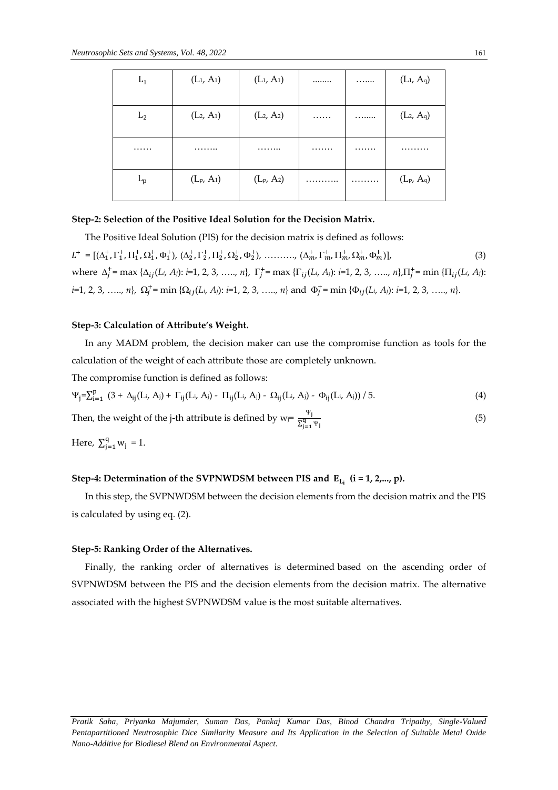| $L_1$          | $(L_1, A_1)$                       | $(L_1, A_1)$     |   | . | $(L_1, A_9)$     |
|----------------|------------------------------------|------------------|---|---|------------------|
| L <sub>2</sub> | (L <sub>2</sub> , A <sub>1</sub> ) | $(L_2, A_2)$     | . | . | $(L_2, A_9)$     |
|                | .                                  | .                |   | . | .                |
| $L_{\rm p}$    | $(L_{p}, A_{1})$                   | $(L_{P}, A_{2})$ | . | . | $(L_{p}, A_{q})$ |

# **Step-2: Selection of the Positive Ideal Solution for the Decision Matrix.**

The Positive Ideal Solution (PIS) for the decision matrix is defined as follows:

 $L^+ = [(\Delta_1^+, \Gamma_1^+, \Pi_1^+, \Omega_1^+, \Phi_1^+), (\Delta_2^+, \Gamma_2^+, \Pi_2^+, \Omega_2^+, \Phi_2^+), \ldots, (\Delta_m^+, \Gamma_m^+, \Pi_m^+, \Omega_m^+, \Phi_m^+)]$  $)]$ , (3) where  $\Delta_j^+$  = max { $\Delta_{ij}(L_i, A_j)$ : *i*=1, 2, 3, …,, *n*},  $\Gamma_j^+$  = max { $\Gamma_{ij}(L_i, A_j)$ : *i*=1, 2, 3, …,, *n*}, $\Pi_j^+$  = min { $\Pi_{ij}(L_i, A_j)$ :  $i=1, 2, 3, \ldots, n$ ,  $\Omega_j^+$  = min { $\Omega_{ij}(L_i, A_j)$ :  $i=1, 2, 3, \ldots, n$ } and  $\Phi_j^+$  = min { $\Phi_{ij}(L_i, A_j)$ :  $i=1, 2, 3, \ldots, n$ }.

### **Step-3: Calculation of Attribute's Weight.**

In any MADM problem, the decision maker can use the compromise function as tools for the calculation of the weight of each attribute those are completely unknown.

The compromise function is defined as follows:

$$
\Psi_j = \sum_{i=1}^p (3 + \Delta_{ij}(L_i, A_i) + \Gamma_{ij}(L_i, A_i) - \Pi_{ij}(L_i, A_i) - \Omega_{ij}(L_i, A_i) - \Phi_{ij}(L_i, A_i)) / 5.
$$
 (4)

Then, the weight of the j-th attribute is defined by  $w_j = \frac{\Psi_j}{\nabla q}$  $\Sigma_{j=1}^q \Psi_j$  $(5)$ 

Here,  $\sum_{i=1}^{q} w_i$  $y_{j=1}^{4} w_j = 1.$ 

# Step-4: Determination of the SVPNWDSM between PIS and E<sub>L<sub>i</sub> (i = 1, 2,..., p).</sub>

In this step, the SVPNWDSM between the decision elements from the decision matrix and the PIS is calculated by using eq. (2).

### **Step-5: Ranking Order of the Alternatives.**

Finally, the ranking order of alternatives is determined based on the ascending order of SVPNWDSM between the PIS and the decision elements from the decision matrix. The alternative associated with the highest SVPNWDSM value is the most suitable alternatives.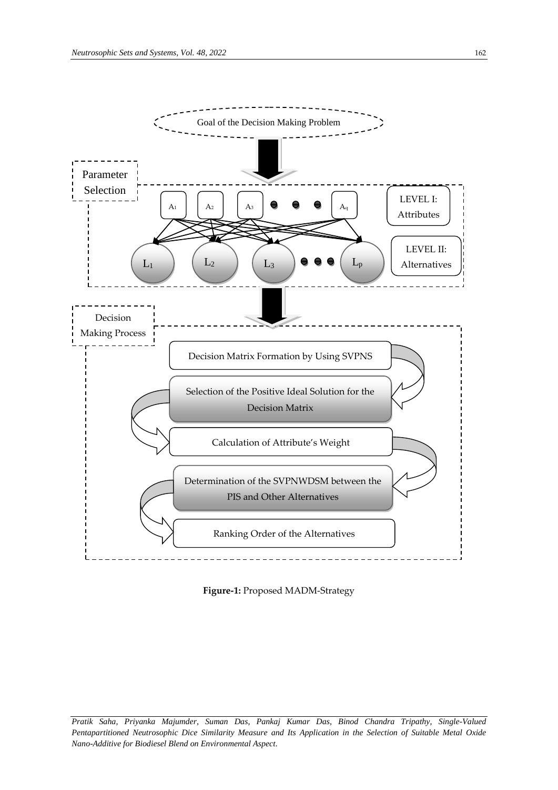



*Pratik Saha, Priyanka Majumder, Suman Das, Pankaj Kumar Das, Binod Chandra Tripathy, Single-Valued Pentapartitioned Neutrosophic Dice Similarity Measure and Its Application in the Selection of Suitable Metal Oxide Nano-Additive for Biodiesel Blend on Environmental Aspect.*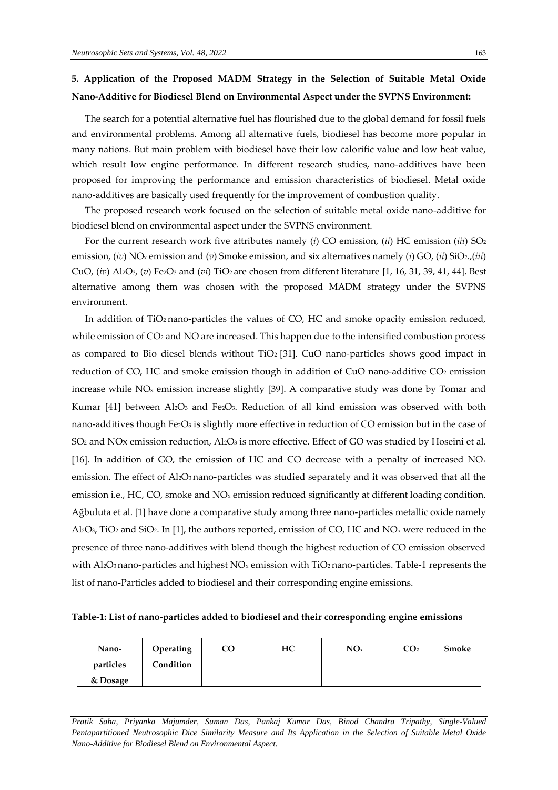# **5. Application of the Proposed MADM Strategy in the Selection of Suitable Metal Oxide Nano-Additive for Biodiesel Blend on Environmental Aspect under the SVPNS Environment:**

The search for a potential alternative fuel has flourished due to the global demand for fossil fuels and environmental problems. Among all alternative fuels, biodiesel has become more popular in many nations. But main problem with biodiesel have their low calorific value and low heat value, which result low engine performance. In different research studies, nano-additives have been proposed for improving the performance and emission characteristics of biodiesel. Metal oxide nano-additives are basically used frequently for the improvement of combustion quality.

The proposed research work focused on the selection of suitable metal oxide nano-additive for biodiesel blend on environmental aspect under the SVPNS environment.

For the current research work five attributes namely (*i*) CO emission, (*ii*) HC emission (*iii*) SO<sup>2</sup> emission, (*iv*) NO<sup>x</sup> emission and (*v*) Smoke emission, and six alternatives namely (*i*) GO, (*ii*) SiO2.,(*iii*) CuO, (*iv*) Al2O3, (*v*) Fe2O<sup>3</sup> and (*vi*) TiO<sup>2</sup> are chosen from different literature [1, 16, 31, 39, 41, 44]. Best alternative among them was chosen with the proposed MADM strategy under the SVPNS environment.

In addition of TiO<sub>2</sub> nano-particles the values of CO, HC and smoke opacity emission reduced, while emission of CO<sub>2</sub> and NO are increased. This happen due to the intensified combustion process as compared to Bio diesel blends without TiO<sub>2</sub> [31]. CuO nano-particles shows good impact in reduction of CO, HC and smoke emission though in addition of CuO nano-additive CO<sup>2</sup> emission increase while  $NO<sub>x</sub>$  emission increase slightly [39]. A comparative study was done by Tomar and Kumar [41] between Al2O<sub>3</sub> and Fe2O<sub>3</sub>. Reduction of all kind emission was observed with both nano-additives though Fe2O3 is slightly more effective in reduction of CO emission but in the case of SO<sub>2</sub> and NOx emission reduction, Al<sub>2</sub>O<sub>3</sub> is more effective. Effect of GO was studied by Hoseini et al. [16]. In addition of GO, the emission of HC and CO decrease with a penalty of increased  $NO<sub>x</sub>$ emission. The effect of Al<sub>2</sub>O<sub>3</sub> nano-particles was studied separately and it was observed that all the emission i.e., HC, CO, smoke and NO<sub>x</sub> emission reduced significantly at different loading condition. Ağbuluta et al. [1] have done a comparative study among three nano-particles metallic oxide namely Al<sub>2</sub>O<sub>3</sub>, TiO<sub>2</sub> and SiO<sub>2</sub>. In [1], the authors reported, emission of CO, HC and NO<sub>x</sub> were reduced in the presence of three nano-additives with blend though the highest reduction of CO emission observed with Al<sub>2</sub>O<sub>3</sub> nano-particles and highest  $NO<sub>x</sub>$  emission with TiO<sub>2</sub> nano-particles. Table-1 represents the list of nano-Particles added to biodiesel and their corresponding engine emissions.

| Table-1: List of nano-particles added to biodiesel and their corresponding engine emissions |  |  |  |
|---------------------------------------------------------------------------------------------|--|--|--|

| Nano-     | Operating | CO | HC | NO <sub>x</sub> | CO <sub>2</sub> | Smoke |
|-----------|-----------|----|----|-----------------|-----------------|-------|
| particles | Condition |    |    |                 |                 |       |
| & Dosage  |           |    |    |                 |                 |       |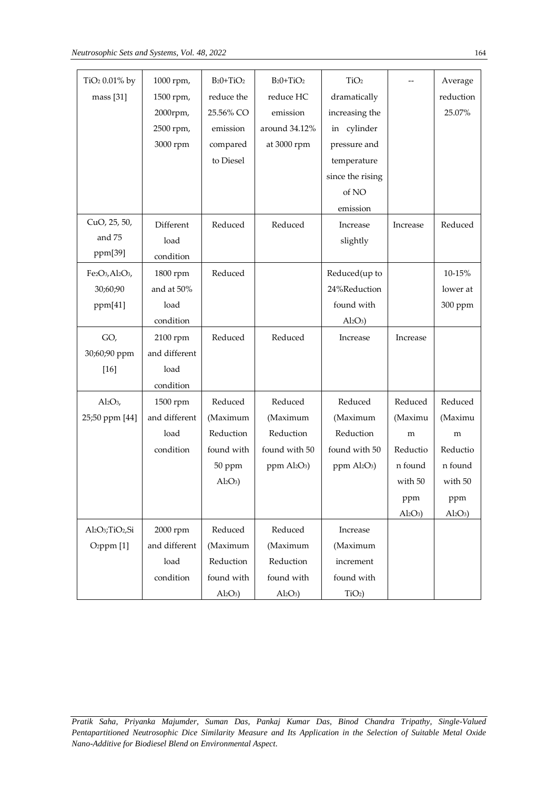| TiO <sub>2</sub> 0.01% by                            | 1000 rpm,     | $B_2O+TiO_2$ | $B_2O+TiO_2$                         | TiO <sub>2</sub>                     |           | Average   |
|------------------------------------------------------|---------------|--------------|--------------------------------------|--------------------------------------|-----------|-----------|
| mass [31]                                            | 1500 rpm,     | reduce the   | reduce HC                            | dramatically                         |           | reduction |
|                                                      | 2000rpm,      | 25.56% CO    | emission                             | increasing the                       |           | 25.07%    |
|                                                      | 2500 rpm,     | emission     | around 34.12%                        | in cylinder                          |           |           |
|                                                      | 3000 rpm      | compared     | at 3000 rpm                          | pressure and                         |           |           |
|                                                      |               | to Diesel    |                                      | temperature                          |           |           |
|                                                      |               |              |                                      | since the rising                     |           |           |
|                                                      |               |              |                                      | of NO                                |           |           |
|                                                      |               |              |                                      | emission                             |           |           |
| CuO, 25, 50,                                         | Different     | Reduced      | Reduced                              | Increase                             | Increase  | Reduced   |
| and 75                                               | load          |              |                                      | slightly                             |           |           |
| ppm[39]                                              | condition     |              |                                      |                                      |           |           |
| Fe2O3, Al2O3,                                        | 1800 rpm      | Reduced      |                                      | Reduced(up to                        |           | 10-15%    |
| 30;60;90                                             | and at 50%    |              |                                      | 24%Reduction                         |           | lower at  |
| ppm[41]                                              | load          |              |                                      | found with                           |           | 300 ppm   |
|                                                      | condition     |              |                                      | $Al_2O_3$                            |           |           |
| GO,                                                  | 2100 rpm      | Reduced      | Reduced                              | Increase                             | Increase  |           |
| 30;60;90 ppm                                         | and different |              |                                      |                                      |           |           |
| $[16]$                                               | load          |              |                                      |                                      |           |           |
|                                                      | condition     |              |                                      |                                      |           |           |
| $Al_2O_3$                                            | 1500 rpm      | Reduced      | Reduced                              | Reduced                              | Reduced   | Reduced   |
| 25;50 ppm [44]                                       | and different | (Maximum     | (Maximum                             | (Maximum                             | (Maximu   | (Maximu   |
|                                                      | load          | Reduction    | Reduction                            | Reduction                            | m         | m         |
|                                                      | condition     | found with   | found with 50                        | found with 50                        | Reductio  | Reductio  |
|                                                      |               | 50 ppm       | ppm Al <sub>2</sub> O <sub>3</sub> ) | ppm Al <sub>2</sub> O <sub>3</sub> ) | n found   | n found   |
|                                                      |               | $Al_2O_3$    |                                      |                                      | with 50   | with 50   |
|                                                      |               |              |                                      |                                      | ppm       | ppm       |
|                                                      |               |              |                                      |                                      | $Al_2O_3$ | $Al_2O_3$ |
| Al <sub>2</sub> O <sub>3</sub> ;TiO <sub>2</sub> ,Si | 2000 rpm      | Reduced      | Reduced                              | Increase                             |           |           |
| O <sub>2</sub> ppm $[1]$                             | and different | (Maximum     | (Maximum                             | (Maximum                             |           |           |
|                                                      | load          | Reduction    | Reduction                            | increment                            |           |           |
|                                                      | condition     | found with   | found with                           | found with                           |           |           |
|                                                      |               | $Al_2O_3$    | $Al_2O_3$                            | $TiO2$ )                             |           |           |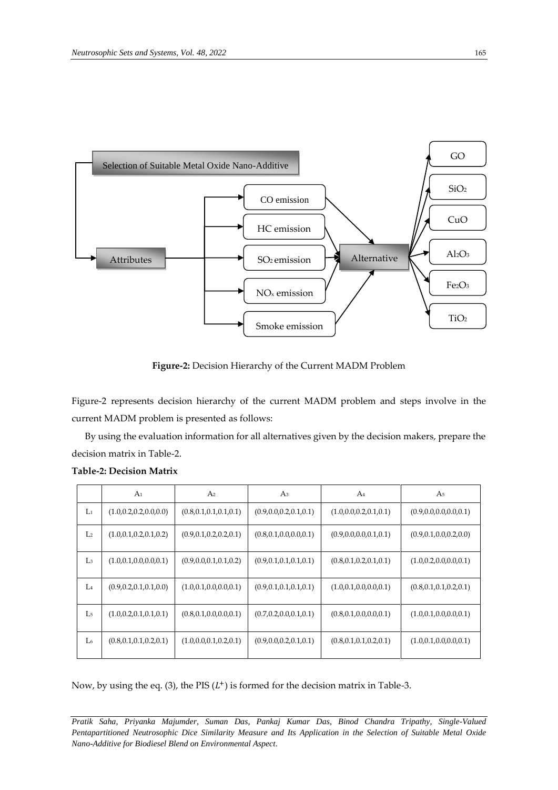

**Figure-2:** Decision Hierarchy of the Current MADM Problem

Figure-2 represents decision hierarchy of the current MADM problem and steps involve in the current MADM problem is presented as follows:

By using the evaluation information for all alternatives given by the decision makers, prepare the decision matrix in Table-2.

|                | A <sub>1</sub>            | A <sub>2</sub>            | A <sub>3</sub>            | A <sub>4</sub>            | A <sub>5</sub>            |
|----------------|---------------------------|---------------------------|---------------------------|---------------------------|---------------------------|
| $\mathbf{L}_1$ | (1.0, 0.2, 0.2, 0.0, 0.0) | (0.8, 0.1, 0.1, 0.1, 0.1) | (0.9, 0.0, 0.2, 0.1, 0.1) | (1.0, 0.0, 0.2, 0.1, 0.1) | (0.9, 0.0, 0.0, 0.0, 0.1) |
| L <sub>2</sub> | (1.0, 0.1, 0.2, 0.1, 0.2) | (0.9, 0.1, 0.2, 0.2, 0.1) | (0.8, 0.1, 0.0, 0.0, 0.1) | (0.9, 0.0, 0.0, 0.1, 0.1) | (0.9, 0.1, 0.0, 0.2, 0.0) |
| L <sub>3</sub> | (1.0, 0.1, 0.0, 0.0, 0.1) | (0.9, 0.0, 0.1, 0.1, 0.2) | (0.9, 0.1, 0.1, 0.1, 0.1) | (0.8, 0.1, 0.2, 0.1, 0.1) | (1.0, 0.2, 0.0, 0.0, 0.1) |
| L <sub>4</sub> | (0.9, 0.2, 0.1, 0.1, 0.0) | (1.0, 0.1, 0.0, 0.0, 0.1) | (0.9, 0.1, 0.1, 0.1, 0.1) | (1.0, 0.1, 0.0, 0.0, 0.1) | (0.8, 0.1, 0.1, 0.2, 0.1) |
| L <sub>5</sub> | (1.0, 0.2, 0.1, 0.1, 0.1) | (0.8, 0.1, 0.0, 0.0, 0.1) | (0.7, 0.2, 0.0, 0.1, 0.1) | (0.8, 0.1, 0.0, 0.0, 0.1) | (1.0, 0.1, 0.0, 0.0, 0.1) |
| L <sub>6</sub> | (0.8, 0.1, 0.1, 0.2, 0.1) | (1.0, 0.0, 0.1, 0.2, 0.1) | (0.9, 0.0, 0.2, 0.1, 0.1) | (0.8, 0.1, 0.1, 0.2, 0.1) | (1.0, 0.1, 0.0, 0.0, 0.1) |

#### **Table-2: Decision Matrix**

Now, by using the eq. (3), the PIS  $(L^+)$  is formed for the decision matrix in Table-3.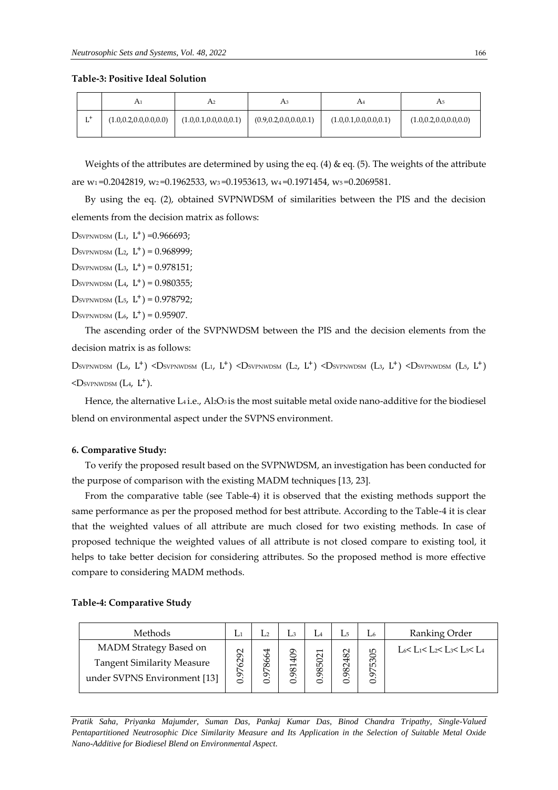**Table-3: Positive Ideal Solution**

|            | A1                        | A2                        | Aз                        | A4                        | A5                        |  |
|------------|---------------------------|---------------------------|---------------------------|---------------------------|---------------------------|--|
| $r +$<br>ப | (1.0, 0.2, 0.0, 0.0, 0.0) | (1.0, 0.1, 0.0, 0.0, 0.1) | (0.9, 0.2, 0.0, 0.0, 0.1) | (1.0, 0.1, 0.0, 0.0, 0.1) | (1.0, 0.2, 0.0, 0.0, 0.0) |  |

Weights of the attributes are determined by using the eq. (4)  $\&$  eq. (5). The weights of the attribute are w1 =0.2042819, w2 =0.1962533, w3 =0.1953613, w4 =0.1971454, w5 =0.2069581.

By using the eq. (2), obtained SVPNWDSM of similarities between the PIS and the decision elements from the decision matrix as follows:

Dsvpnwdsm  $(L_1, L^+) = 0.966693;$ 

DSVPNWDSM  $(L_2, L^+) = 0.968999;$ 

DSVPNWDSM  $(L_3, L^+) = 0.978151;$ 

DSVPNWDSM  $(L_4, L^+) = 0.980355;$ 

DSVPNWDSM  $(L_5, L^+) = 0.978792;$ 

DSVPNWDSM  $(L_6, L^+) = 0.95907$ .

The ascending order of the SVPNWDSM between the PIS and the decision elements from the decision matrix is as follows:

Dsvpnwdsm (L6, L<sup>+</sup>) <Dsvpnwdsm (L1, L<sup>+</sup>) <Dsvpnwdsm (L2, L<sup>+</sup>) <Dsvpnwdsm (L3, L<sup>+</sup>) <Dsvpnwdsm (L5, L<sup>+</sup>)  $<$ Dsvpnwdsm (L<sub>4</sub>, L<sup>+</sup>).

Hence, the alternative L4 i.e., Al2O3 is the most suitable metal oxide nano-additive for the biodiesel blend on environmental aspect under the SVPNS environment.

#### **6. Comparative Study:**

To verify the proposed result based on the SVPNWDSM, an investigation has been conducted for the purpose of comparison with the existing MADM techniques [13, 23].

From the comparative table (see Table-4) it is observed that the existing methods support the same performance as per the proposed method for best attribute. According to the Table-4 it is clear that the weighted values of all attribute are much closed for two existing methods. In case of proposed technique the weighted values of all attribute is not closed compare to existing tool, it helps to take better decision for considering attributes. So the proposed method is more effective compare to considering MADM methods.

#### **Table-4: Comparative Study**

| Methods                                                                                     | L1             |                | Lз                                   | $L_4$          | L5.         | L6              | Ranking Order                       |
|---------------------------------------------------------------------------------------------|----------------|----------------|--------------------------------------|----------------|-------------|-----------------|-------------------------------------|
| MADM Strategy Based on<br><b>Tangent Similarity Measure</b><br>under SVPNS Environment [13] | 6292<br>↖<br>ᡡ | 4<br>866<br>56 | 1409<br>$\overline{\mathbf{8}}$<br>⊂ | ↽<br>502<br>98 | 982482<br>⊂ | 5305<br>55<br>⊂ | $L_6 < L_1 < L_2 < L_3 < L_5 < L_4$ |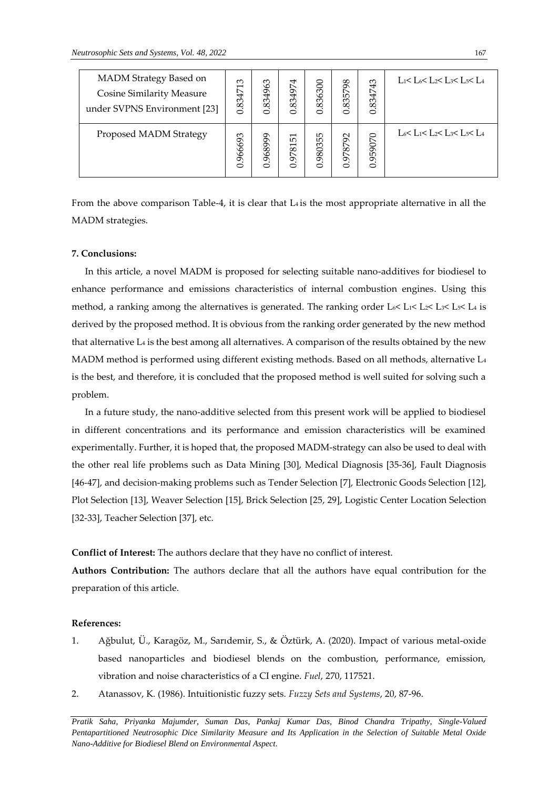| MADM Strategy Based on<br>Cosine Similarity Measure<br>under SVPNS Environment [23] | S<br>$\overline{\phantom{0}}$<br>8347<br>0 | .834963<br>$\bullet$ | 834974<br>$\circ$ | .836300<br>$\circ$ | 835798<br>$\circ$ | 834743<br>Ö | L1< L6< L2< L3< L5< L4 |
|-------------------------------------------------------------------------------------|--------------------------------------------|----------------------|-------------------|--------------------|-------------------|-------------|------------------------|
| Proposed MADM Strategy                                                              | 0.966693                                   | 0.968999             | 0.978151          | ഥ<br>98035<br>ö    | 0.978792          | 0.959070    | L6< L1< L2< L3< L5< L4 |

From the above comparison Table-4, it is clear that  $L_4$  is the most appropriate alternative in all the MADM strategies.

# **7. Conclusions:**

In this article, a novel MADM is proposed for selecting suitable nano-additives for biodiesel to enhance performance and emissions characteristics of internal combustion engines. Using this method, a ranking among the alternatives is generated. The ranking order  $L_6 < L_1 < L_2 < L_3 < L_5 < L_4$  is derived by the proposed method. It is obvious from the ranking order generated by the new method that alternative  $Li$  is the best among all alternatives. A comparison of the results obtained by the new MADM method is performed using different existing methods. Based on all methods, alternative L<sup>4</sup> is the best, and therefore, it is concluded that the proposed method is well suited for solving such a problem.

In a future study, the nano-additive selected from this present work will be applied to biodiesel in different concentrations and its performance and emission characteristics will be examined experimentally. Further, it is hoped that, the proposed MADM-strategy can also be used to deal with the other real life problems such as Data Mining [30], Medical Diagnosis [35-36], Fault Diagnosis [46-47], and decision-making problems such as Tender Selection [7], Electronic Goods Selection [12], Plot Selection [13], Weaver Selection [15], Brick Selection [25, 29], Logistic Center Location Selection [32-33], Teacher Selection [37], etc.

**Conflict of Interest:** The authors declare that they have no conflict of interest.

**Authors Contribution:** The authors declare that all the authors have equal contribution for the preparation of this article.

# **References:**

- 1. Ağbulut, Ü., Karagöz, M., Sarıdemir, S., & Öztürk, A. (2020). Impact of various metal-oxide based nanoparticles and biodiesel blends on the combustion, performance, emission, vibration and noise characteristics of a CI engine. *Fuel*, 270, 117521.
- 2. Atanassov, K. (1986). Intuitionistic fuzzy sets. *Fuzzy Sets and Systems*, 20, 87-96.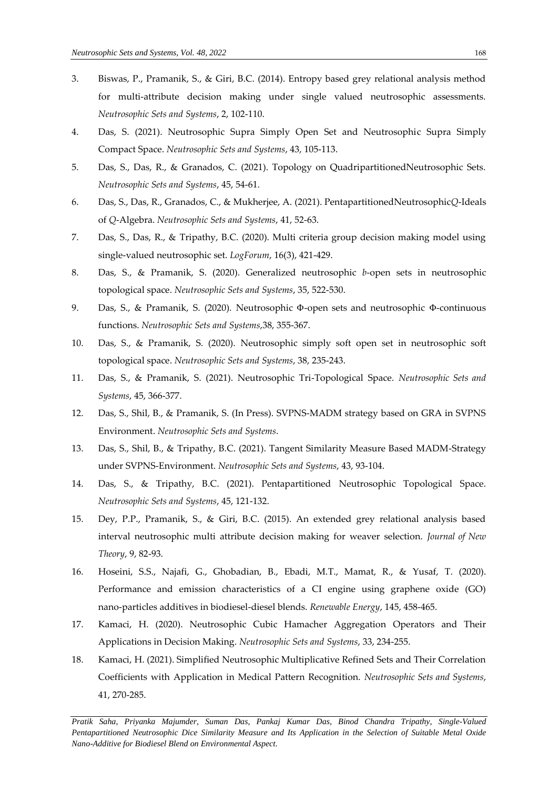- 3. Biswas, P., Pramanik, S., & Giri, B.C. (2014). Entropy based grey relational analysis method for multi-attribute decision making under single valued neutrosophic assessments. *Neutrosophic Sets and Systems*, 2, 102-110.
- 4. Das, S. (2021). Neutrosophic Supra Simply Open Set and Neutrosophic Supra Simply Compact Space. *Neutrosophic Sets and Systems*, 43, 105-113.
- 5. Das, S., Das, R., & Granados, C. (2021). Topology on QuadripartitionedNeutrosophic Sets. *Neutrosophic Sets and Systems*, 45, 54-61.
- 6. Das, S., Das, R., Granados, C., & Mukherjee, A. (2021). PentapartitionedNeutrosophic*Q*-Ideals of *Q*-Algebra. *Neutrosophic Sets and Systems*, 41, 52-63.
- 7. Das, S., Das, R., & Tripathy, B.C. (2020). Multi criteria group decision making model using single-valued neutrosophic set. *LogForum*, 16(3), 421-429.
- 8. Das, S., & Pramanik, S. (2020). Generalized neutrosophic *b*-open sets in neutrosophic topological space. *Neutrosophic Sets and Systems*, 35, 522-530.
- 9. Das, S., & Pramanik, S. (2020). Neutrosophic Φ-open sets and neutrosophic Φ-continuous functions. *Neutrosophic Sets and Systems*,38, 355-367.
- 10. Das, S., & Pramanik, S. (2020). Neutrosophic simply soft open set in neutrosophic soft topological space. *Neutrosophic Sets and Systems*, 38, 235-243.
- 11. Das, S., & Pramanik, S. (2021). Neutrosophic Tri-Topological Space. *Neutrosophic Sets and Systems*, 45, 366-377.
- 12. Das, S., Shil, B., & Pramanik, S. (In Press). SVPNS-MADM strategy based on GRA in SVPNS Environment. *Neutrosophic Sets and Systems*.
- 13. Das, S., Shil, B., & Tripathy, B.C. (2021). Tangent Similarity Measure Based MADM-Strategy under SVPNS-Environment. *Neutrosophic Sets and Systems*, 43, 93-104.
- 14. Das, S., & Tripathy, B.C. (2021). Pentapartitioned Neutrosophic Topological Space. *Neutrosophic Sets and Systems*, 45, 121-132.
- 15. Dey, P.P., Pramanik, S., & Giri, B.C. (2015). An extended grey relational analysis based interval neutrosophic multi attribute decision making for weaver selection. *Journal of New Theory*, 9, 82-93.
- 16. Hoseini, S.S., Najafi, G., Ghobadian, B., Ebadi, M.T., Mamat, R., & Yusaf, T. (2020). Performance and emission characteristics of a CI engine using graphene oxide (GO) nano-particles additives in biodiesel-diesel blends. *Renewable Energy*, 145, 458-465.
- 17. Kamaci, H. (2020). Neutrosophic Cubic Hamacher Aggregation Operators and Their Applications in Decision Making. *Neutrosophic Sets and Systems*, 33, 234-255.
- 18. Kamaci, H. (2021). Simplified Neutrosophic Multiplicative Refined Sets and Their Correlation Coefficients with Application in Medical Pattern Recognition. *Neutrosophic Sets and Systems*, 41, 270-285.

*Pratik Saha, Priyanka Majumder, Suman Das, Pankaj Kumar Das, Binod Chandra Tripathy, Single-Valued Pentapartitioned Neutrosophic Dice Similarity Measure and Its Application in the Selection of Suitable Metal Oxide Nano-Additive for Biodiesel Blend on Environmental Aspect.*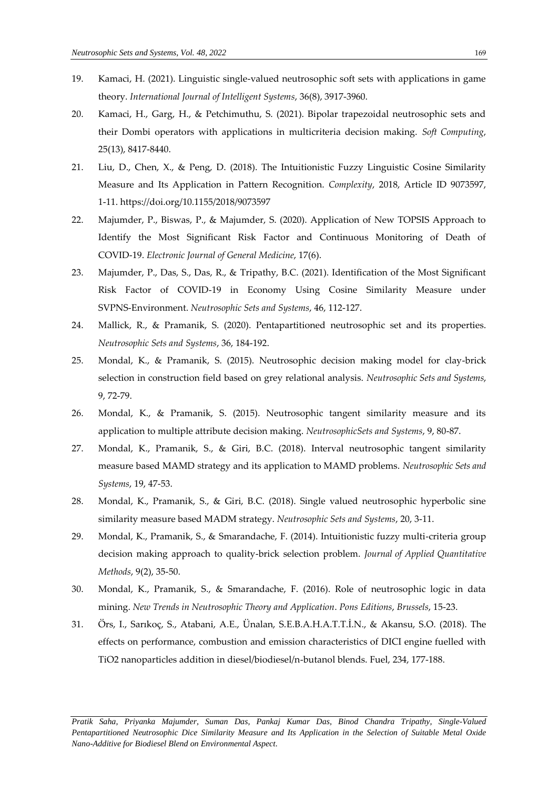- 19. Kamaci, H. (2021). Linguistic single-valued neutrosophic soft sets with applications in game theory. *International Journal of Intelligent Systems*, 36(8), 3917-3960.
- 20. Kamaci, H., Garg, H., & Petchimuthu, S. (2021). Bipolar trapezoidal neutrosophic sets and their Dombi operators with applications in multicriteria decision making. *Soft Computing*, 25(13), 8417-8440.
- 21. Liu, D., Chen, X., & Peng, D. (2018). The Intuitionistic Fuzzy Linguistic Cosine Similarity Measure and Its Application in Pattern Recognition. *Complexity*, 2018, Article ID 9073597, 1-11. https://doi.org/10.1155/2018/9073597
- 22. Majumder, P., Biswas, P., & Majumder, S. (2020). Application of New TOPSIS Approach to Identify the Most Significant Risk Factor and Continuous Monitoring of Death of COVID-19. *Electronic Journal of General Medicine*, 17(6).
- 23. Majumder, P., Das, S., Das, R., & Tripathy, B.C. (2021). Identification of the Most Significant Risk Factor of COVID-19 in Economy Using Cosine Similarity Measure under SVPNS-Environment. *Neutrosophic Sets and Systems*, 46, 112-127.
- 24. Mallick, R., & Pramanik, S. (2020). Pentapartitioned neutrosophic set and its properties. *Neutrosophic Sets and Systems*, 36, 184-192.
- 25. Mondal, K., & Pramanik, S. (2015). Neutrosophic decision making model for clay-brick selection in construction field based on grey relational analysis. *Neutrosophic Sets and Systems*, 9, 72-79.
- 26. Mondal, K., & Pramanik, S. (2015). Neutrosophic tangent similarity measure and its application to multiple attribute decision making. *NeutrosophicSets and Systems*, 9, 80-87.
- 27. Mondal, K., Pramanik, S., & Giri, B.C. (2018). Interval neutrosophic tangent similarity measure based MAMD strategy and its application to MAMD problems. *Neutrosophic Sets and Systems*, 19, 47-53.
- 28. Mondal, K., Pramanik, S., & Giri, B.C. (2018). Single valued neutrosophic hyperbolic sine similarity measure based MADM strategy. *Neutrosophic Sets and Systems*, 20, 3-11.
- 29. Mondal, K., Pramanik, S., & Smarandache, F. (2014). Intuitionistic fuzzy multi-criteria group decision making approach to quality-brick selection problem. *Journal of Applied Quantitative Methods*, 9(2), 35-50.
- 30. Mondal, K., Pramanik, S., & Smarandache, F. (2016). Role of neutrosophic logic in data mining. *New Trends in Neutrosophic Theory and Application*. *Pons Editions*, *Brussels*, 15-23.
- 31. Örs, I., Sarıkoç, S., Atabani, A.E., Ünalan, S.E.B.A.H.A.T.T.İ.N., & Akansu, S.O. (2018). The effects on performance, combustion and emission characteristics of DICI engine fuelled with TiO2 nanoparticles addition in diesel/biodiesel/n-butanol blends. Fuel, 234, 177-188.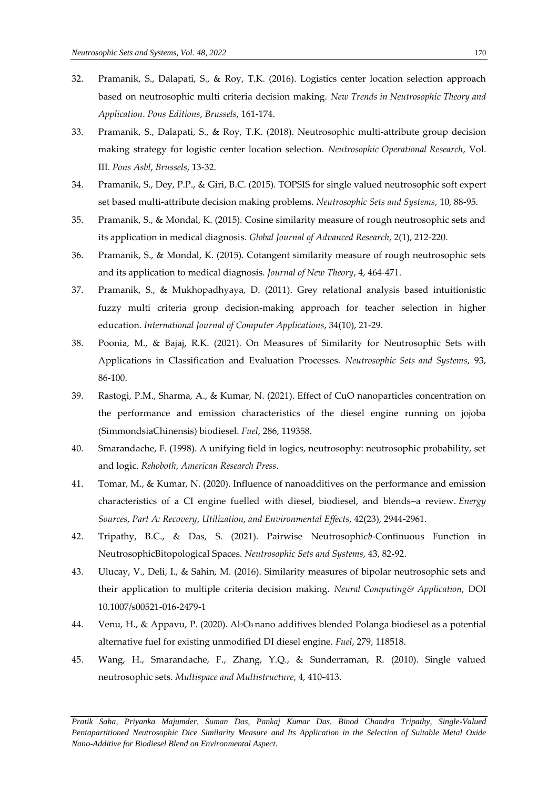- 32. Pramanik, S., Dalapati, S., & Roy, T.K. (2016). Logistics center location selection approach based on neutrosophic multi criteria decision making. *New Trends in Neutrosophic Theory and Application*. *Pons Editions*, *Brussels*, 161-174.
- 33. Pramanik, S., Dalapati, S., & Roy, T.K. (2018). Neutrosophic multi-attribute group decision making strategy for logistic center location selection. *Neutrosophic Operational Research*, Vol. III. *Pons Asbl*, *Brussels*, 13-32.
- 34. Pramanik, S., Dey, P.P., & Giri, B.C. (2015). TOPSIS for single valued neutrosophic soft expert set based multi-attribute decision making problems. *Neutrosophic Sets and Systems*, 10, 88-95.
- 35. Pramanik, S., & Mondal, K. (2015). Cosine similarity measure of rough neutrosophic sets and its application in medical diagnosis. *Global Journal of Advanced Research*, 2(1), 212-220.
- 36. Pramanik, S., & Mondal, K. (2015). Cotangent similarity measure of rough neutrosophic sets and its application to medical diagnosis. *Journal of New Theory*, 4, 464-471.
- 37. Pramanik, S., & Mukhopadhyaya, D. (2011). Grey relational analysis based intuitionistic fuzzy multi criteria group decision-making approach for teacher selection in higher education. *International Journal of Computer Applications*, 34(10), 21-29.
- 38. Poonia, M., & Bajaj, R.K. (2021). On Measures of Similarity for Neutrosophic Sets with Applications in Classification and Evaluation Processes. *Neutrosophic Sets and Systems*, 93, 86-100.
- 39. Rastogi, P.M., Sharma, A., & Kumar, N. (2021). Effect of CuO nanoparticles concentration on the performance and emission characteristics of the diesel engine running on jojoba (SimmondsiaChinensis) biodiesel. *Fuel*, 286, 119358.
- 40. Smarandache, F. (1998). A unifying field in logics, neutrosophy: neutrosophic probability, set and logic. *Rehoboth*, *American Research Press*.
- 41. Tomar, M., & Kumar, N. (2020). Influence of nanoadditives on the performance and emission characteristics of a CI engine fuelled with diesel, biodiesel, and blends–a review. *Energy Sources*, *Part A: Recovery*, *Utilization*, *and Environmental Effects*, 42(23), 2944-2961.
- 42. Tripathy, B.C., & Das, S. (2021). Pairwise Neutrosophic*b*-Continuous Function in NeutrosophicBitopological Spaces. *Neutrosophic Sets and Systems*, 43, 82-92.
- 43. Ulucay, V., Deli, I., & Sahin, M. (2016). Similarity measures of bipolar neutrosophic sets and their application to multiple criteria decision making. *Neural Computing& Application*, DOI 10.1007/s00521-016-2479-1
- 44. Venu, H., & Appavu, P. (2020). Al2O<sup>3</sup> nano additives blended Polanga biodiesel as a potential alternative fuel for existing unmodified DI diesel engine. *Fuel*, 279, 118518.
- 45. Wang, H., Smarandache, F., Zhang, Y.Q., & Sunderraman, R. (2010). Single valued neutrosophic sets. *Multispace and Multistructure*, 4, 410-413.

*Pratik Saha, Priyanka Majumder, Suman Das, Pankaj Kumar Das, Binod Chandra Tripathy, Single-Valued Pentapartitioned Neutrosophic Dice Similarity Measure and Its Application in the Selection of Suitable Metal Oxide Nano-Additive for Biodiesel Blend on Environmental Aspect.*